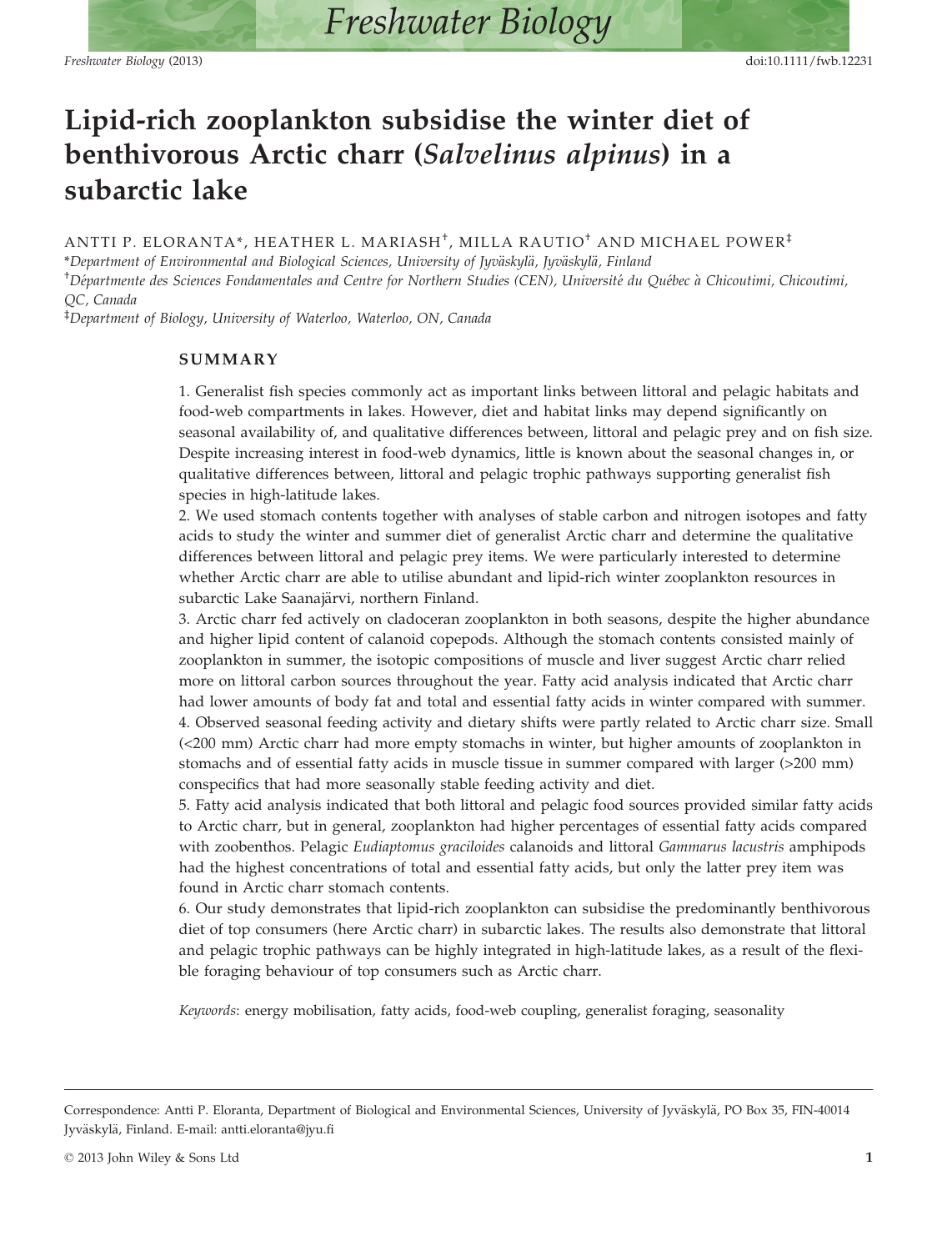# Lipid-rich zooplankton subsidise the winter diet of benthivorous Arctic charr (Salvelinus alpinus) in a subarctic lake

ANTTI P. ELORANTA\*, HEATHER L. MARIASH† , MILLA RAUTIO† AND MICHAEL POWER‡

\*Department of Environmental and Biological Sciences, University of Jyväskylä, Jyväskylä, Finland <sup>†</sup>Départmente des Sciences Fondamentales and Centre for Northern Studies (CEN), Université du Québec à Chicoutimi, Chicoutimi, QC, Canada

‡ Department of Biology, University of Waterloo, Waterloo, ON, Canada

## SUMMARY

1. Generalist fish species commonly act as important links between littoral and pelagic habitats and food-web compartments in lakes. However, diet and habitat links may depend significantly on seasonal availability of, and qualitative differences between, littoral and pelagic prey and on fish size. Despite increasing interest in food-web dynamics, little is known about the seasonal changes in, or qualitative differences between, littoral and pelagic trophic pathways supporting generalist fish species in high-latitude lakes.

2. We used stomach contents together with analyses of stable carbon and nitrogen isotopes and fatty acids to study the winter and summer diet of generalist Arctic charr and determine the qualitative differences between littoral and pelagic prey items. We were particularly interested to determine whether Arctic charr are able to utilise abundant and lipid-rich winter zooplankton resources in subarctic Lake Saanajärvi, northern Finland.

3. Arctic charr fed actively on cladoceran zooplankton in both seasons, despite the higher abundance and higher lipid content of calanoid copepods. Although the stomach contents consisted mainly of zooplankton in summer, the isotopic compositions of muscle and liver suggest Arctic charr relied more on littoral carbon sources throughout the year. Fatty acid analysis indicated that Arctic charr had lower amounts of body fat and total and essential fatty acids in winter compared with summer. 4. Observed seasonal feeding activity and dietary shifts were partly related to Arctic charr size. Small (<200 mm) Arctic charr had more empty stomachs in winter, but higher amounts of zooplankton in stomachs and of essential fatty acids in muscle tissue in summer compared with larger (>200 mm) conspecifics that had more seasonally stable feeding activity and diet.

5. Fatty acid analysis indicated that both littoral and pelagic food sources provided similar fatty acids to Arctic charr, but in general, zooplankton had higher percentages of essential fatty acids compared with zoobenthos. Pelagic Eudiaptomus graciloides calanoids and littoral Gammarus lacustris amphipods had the highest concentrations of total and essential fatty acids, but only the latter prey item was found in Arctic charr stomach contents.

6. Our study demonstrates that lipid-rich zooplankton can subsidise the predominantly benthivorous diet of top consumers (here Arctic charr) in subarctic lakes. The results also demonstrate that littoral and pelagic trophic pathways can be highly integrated in high-latitude lakes, as a result of the flexible foraging behaviour of top consumers such as Arctic charr.

Keywords: energy mobilisation, fatty acids, food-web coupling, generalist foraging, seasonality

Correspondence: Antti P. Eloranta, Department of Biological and Environmental Sciences, University of Jyväskylä, PO Box 35, FIN-40014 Jyväskylä, Finland. E-mail: antti.eloranta@jyu.fi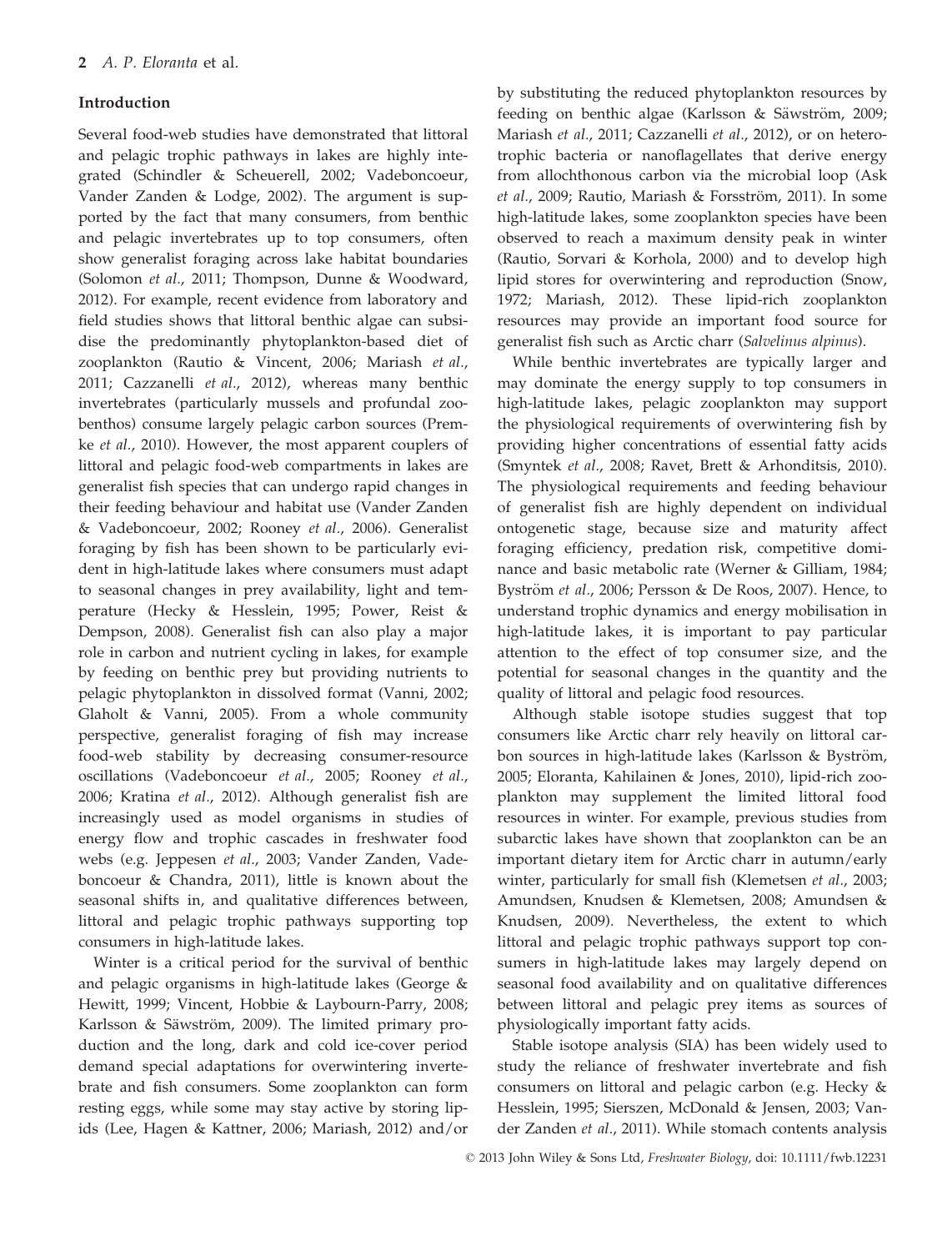#### Introduction

Several food-web studies have demonstrated that littoral and pelagic trophic pathways in lakes are highly integrated (Schindler & Scheuerell, 2002; Vadeboncoeur, Vander Zanden & Lodge, 2002). The argument is supported by the fact that many consumers, from benthic and pelagic invertebrates up to top consumers, often show generalist foraging across lake habitat boundaries (Solomon et al., 2011; Thompson, Dunne & Woodward, 2012). For example, recent evidence from laboratory and field studies shows that littoral benthic algae can subsidise the predominantly phytoplankton-based diet of zooplankton (Rautio & Vincent, 2006; Mariash et al., 2011; Cazzanelli et al., 2012), whereas many benthic invertebrates (particularly mussels and profundal zoobenthos) consume largely pelagic carbon sources (Premke et al., 2010). However, the most apparent couplers of littoral and pelagic food-web compartments in lakes are generalist fish species that can undergo rapid changes in their feeding behaviour and habitat use (Vander Zanden & Vadeboncoeur, 2002; Rooney et al., 2006). Generalist foraging by fish has been shown to be particularly evident in high-latitude lakes where consumers must adapt to seasonal changes in prey availability, light and temperature (Hecky & Hesslein, 1995; Power, Reist & Dempson, 2008). Generalist fish can also play a major role in carbon and nutrient cycling in lakes, for example by feeding on benthic prey but providing nutrients to pelagic phytoplankton in dissolved format (Vanni, 2002; Glaholt & Vanni, 2005). From a whole community perspective, generalist foraging of fish may increase food-web stability by decreasing consumer-resource oscillations (Vadeboncoeur et al., 2005; Rooney et al., 2006; Kratina et al., 2012). Although generalist fish are increasingly used as model organisms in studies of energy flow and trophic cascades in freshwater food webs (e.g. Jeppesen et al., 2003; Vander Zanden, Vadeboncoeur & Chandra, 2011), little is known about the seasonal shifts in, and qualitative differences between, littoral and pelagic trophic pathways supporting top consumers in high-latitude lakes.

Winter is a critical period for the survival of benthic and pelagic organisms in high-latitude lakes (George & Hewitt, 1999; Vincent, Hobbie & Laybourn-Parry, 2008; Karlsson & Säwström, 2009). The limited primary production and the long, dark and cold ice-cover period demand special adaptations for overwintering invertebrate and fish consumers. Some zooplankton can form resting eggs, while some may stay active by storing lipids (Lee, Hagen & Kattner, 2006; Mariash, 2012) and/or

by substituting the reduced phytoplankton resources by feeding on benthic algae (Karlsson & Säwström, 2009; Mariash et al., 2011; Cazzanelli et al., 2012), or on heterotrophic bacteria or nanoflagellates that derive energy from allochthonous carbon via the microbial loop (Ask et al., 2009; Rautio, Mariash & Forsström, 2011). In some high-latitude lakes, some zooplankton species have been observed to reach a maximum density peak in winter (Rautio, Sorvari & Korhola, 2000) and to develop high lipid stores for overwintering and reproduction (Snow, 1972; Mariash, 2012). These lipid-rich zooplankton resources may provide an important food source for generalist fish such as Arctic charr (Salvelinus alpinus).

While benthic invertebrates are typically larger and may dominate the energy supply to top consumers in high-latitude lakes, pelagic zooplankton may support the physiological requirements of overwintering fish by providing higher concentrations of essential fatty acids (Smyntek et al., 2008; Ravet, Brett & Arhonditsis, 2010). The physiological requirements and feeding behaviour of generalist fish are highly dependent on individual ontogenetic stage, because size and maturity affect foraging efficiency, predation risk, competitive dominance and basic metabolic rate (Werner & Gilliam, 1984; Byström et al., 2006; Persson & De Roos, 2007). Hence, to understand trophic dynamics and energy mobilisation in high-latitude lakes, it is important to pay particular attention to the effect of top consumer size, and the potential for seasonal changes in the quantity and the quality of littoral and pelagic food resources.

Although stable isotope studies suggest that top consumers like Arctic charr rely heavily on littoral carbon sources in high-latitude lakes (Karlsson & Byström, 2005; Eloranta, Kahilainen & Jones, 2010), lipid-rich zooplankton may supplement the limited littoral food resources in winter. For example, previous studies from subarctic lakes have shown that zooplankton can be an important dietary item for Arctic charr in autumn/early winter, particularly for small fish (Klemetsen et al., 2003; Amundsen, Knudsen & Klemetsen, 2008; Amundsen & Knudsen, 2009). Nevertheless, the extent to which littoral and pelagic trophic pathways support top consumers in high-latitude lakes may largely depend on seasonal food availability and on qualitative differences between littoral and pelagic prey items as sources of physiologically important fatty acids.

Stable isotope analysis (SIA) has been widely used to study the reliance of freshwater invertebrate and fish consumers on littoral and pelagic carbon (e.g. Hecky & Hesslein, 1995; Sierszen, McDonald & Jensen, 2003; Vander Zanden et al., 2011). While stomach contents analysis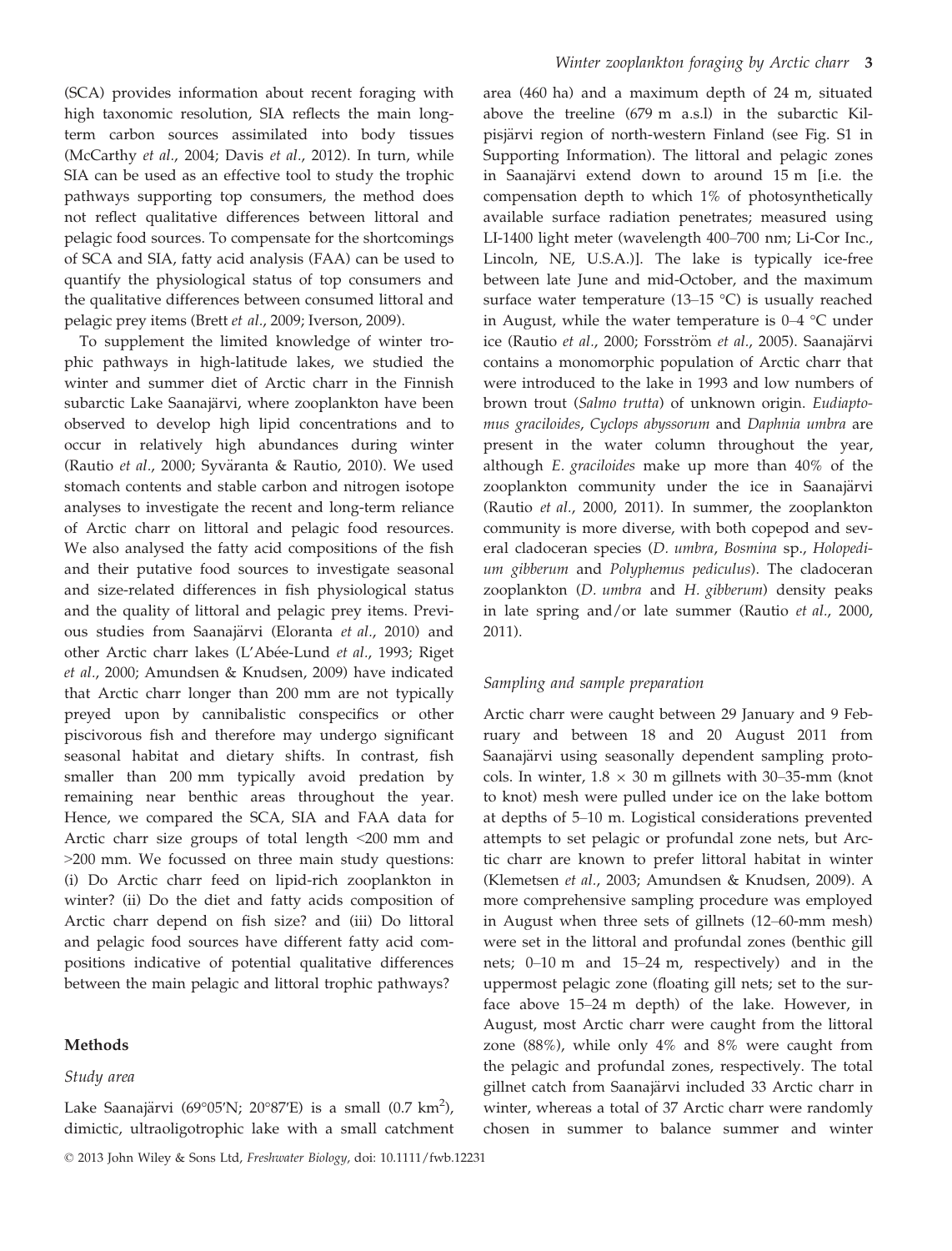(SCA) provides information about recent foraging with high taxonomic resolution, SIA reflects the main longterm carbon sources assimilated into body tissues (McCarthy et al., 2004; Davis et al., 2012). In turn, while SIA can be used as an effective tool to study the trophic pathways supporting top consumers, the method does not reflect qualitative differences between littoral and pelagic food sources. To compensate for the shortcomings of SCA and SIA, fatty acid analysis (FAA) can be used to quantify the physiological status of top consumers and the qualitative differences between consumed littoral and pelagic prey items (Brett et al., 2009; Iverson, 2009).

To supplement the limited knowledge of winter trophic pathways in high-latitude lakes, we studied the winter and summer diet of Arctic charr in the Finnish subarctic Lake Saanajärvi, where zooplankton have been observed to develop high lipid concentrations and to occur in relatively high abundances during winter (Rautio et al., 2000; Syväranta & Rautio, 2010). We used stomach contents and stable carbon and nitrogen isotope analyses to investigate the recent and long-term reliance of Arctic charr on littoral and pelagic food resources. We also analysed the fatty acid compositions of the fish and their putative food sources to investigate seasonal and size-related differences in fish physiological status and the quality of littoral and pelagic prey items. Previous studies from Saanajärvi (Eloranta et al., 2010) and other Arctic charr lakes (L'Abée-Lund *et al.,* 1993; Riget et al., 2000; Amundsen & Knudsen, 2009) have indicated that Arctic charr longer than 200 mm are not typically preyed upon by cannibalistic conspecifics or other piscivorous fish and therefore may undergo significant seasonal habitat and dietary shifts. In contrast, fish smaller than 200 mm typically avoid predation by remaining near benthic areas throughout the year. Hence, we compared the SCA, SIA and FAA data for Arctic charr size groups of total length <200 mm and >200 mm. We focussed on three main study questions: (i) Do Arctic charr feed on lipid-rich zooplankton in winter? (ii) Do the diet and fatty acids composition of Arctic charr depend on fish size? and (iii) Do littoral and pelagic food sources have different fatty acid compositions indicative of potential qualitative differences between the main pelagic and littoral trophic pathways?

#### Methods

#### Study area

Lake Saanajärvi (69°05'N; 20°87'E) is a small (0.7 km<sup>2</sup>), dimictic, ultraoligotrophic lake with a small catchment

© 2013 John Wiley & Sons Ltd, Freshwater Biology, doi: 10.1111/fwb.12231

area (460 ha) and a maximum depth of 24 m, situated above the treeline (679 m a.s.l) in the subarctic Kilpisjärvi region of north-western Finland (see Fig. S1 in Supporting Information). The littoral and pelagic zones in Saanajärvi extend down to around 15 m [i.e. the compensation depth to which 1% of photosynthetically available surface radiation penetrates; measured using LI-1400 light meter (wavelength 400–700 nm; Li-Cor Inc., Lincoln, NE, U.S.A.)]. The lake is typically ice-free between late June and mid-October, and the maximum surface water temperature (13–15 °C) is usually reached in August, while the water temperature is 0–4 °C under ice (Rautio et al., 2000; Forsström et al., 2005). Saanajärvi contains a monomorphic population of Arctic charr that were introduced to the lake in 1993 and low numbers of brown trout (Salmo trutta) of unknown origin. Eudiaptomus graciloides, Cyclops abyssorum and Daphnia umbra are present in the water column throughout the year, although E. graciloides make up more than 40% of the zooplankton community under the ice in Saanajärvi (Rautio et al., 2000, 2011). In summer, the zooplankton community is more diverse, with both copepod and several cladoceran species (D. umbra, Bosmina sp., Holopedium gibberum and Polyphemus pediculus). The cladoceran zooplankton (D. umbra and H. gibberum) density peaks in late spring and/or late summer (Rautio et al., 2000, 2011).

#### Sampling and sample preparation

Arctic charr were caught between 29 January and 9 February and between 18 and 20 August 2011 from Saanajärvi using seasonally dependent sampling protocols. In winter,  $1.8 \times 30$  m gillnets with 30–35-mm (knot to knot) mesh were pulled under ice on the lake bottom at depths of 5–10 m. Logistical considerations prevented attempts to set pelagic or profundal zone nets, but Arctic charr are known to prefer littoral habitat in winter (Klemetsen et al., 2003; Amundsen & Knudsen, 2009). A more comprehensive sampling procedure was employed in August when three sets of gillnets (12–60-mm mesh) were set in the littoral and profundal zones (benthic gill nets; 0–10 m and 15–24 m, respectively) and in the uppermost pelagic zone (floating gill nets; set to the surface above 15–24 m depth) of the lake. However, in August, most Arctic charr were caught from the littoral zone (88%), while only 4% and 8% were caught from the pelagic and profundal zones, respectively. The total gillnet catch from Saanajärvi included 33 Arctic charr in winter, whereas a total of 37 Arctic charr were randomly chosen in summer to balance summer and winter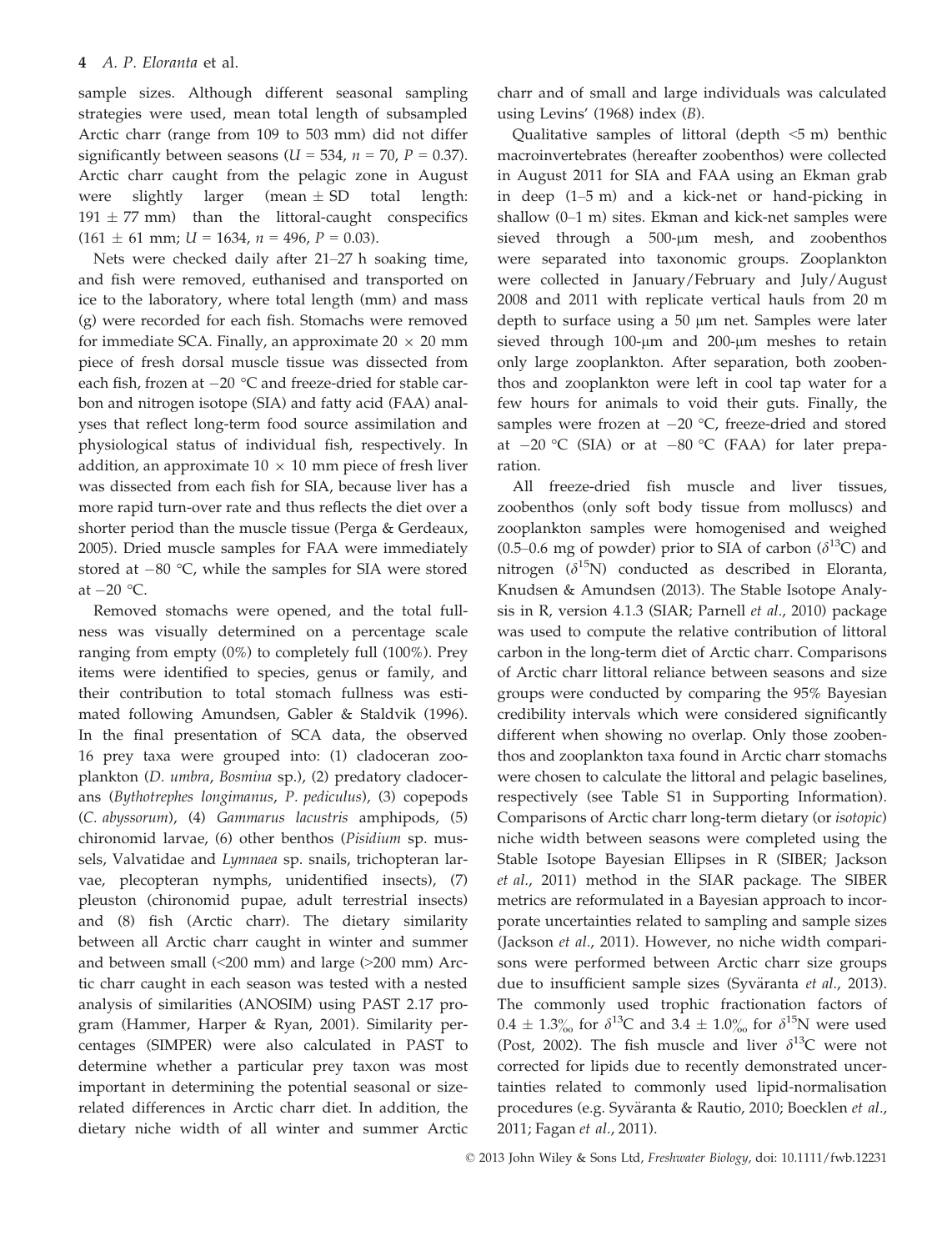sample sizes. Although different seasonal sampling strategies were used, mean total length of subsampled Arctic charr (range from 109 to 503 mm) did not differ significantly between seasons ( $U = 534$ ,  $n = 70$ ,  $P = 0.37$ ). Arctic charr caught from the pelagic zone in August were slightly larger (mean  $\pm$  SD total length:  $191 \pm 77$  mm) than the littoral-caught conspecifics  $(161 \pm 61 \text{ mm}; U = 1634, n = 496, P = 0.03).$ 

Nets were checked daily after 21–27 h soaking time, and fish were removed, euthanised and transported on ice to the laboratory, where total length (mm) and mass (g) were recorded for each fish. Stomachs were removed for immediate SCA. Finally, an approximate  $20 \times 20$  mm piece of fresh dorsal muscle tissue was dissected from each fish, frozen at  $-20$  °C and freeze-dried for stable carbon and nitrogen isotope (SIA) and fatty acid (FAA) analyses that reflect long-term food source assimilation and physiological status of individual fish, respectively. In addition, an approximate  $10 \times 10$  mm piece of fresh liver was dissected from each fish for SIA, because liver has a more rapid turn-over rate and thus reflects the diet over a shorter period than the muscle tissue (Perga & Gerdeaux, 2005). Dried muscle samples for FAA were immediately stored at  $-80$  °C, while the samples for SIA were stored at  $-20$  °C.

Removed stomachs were opened, and the total fullness was visually determined on a percentage scale ranging from empty (0%) to completely full (100%). Prey items were identified to species, genus or family, and their contribution to total stomach fullness was estimated following Amundsen, Gabler & Staldvik (1996). In the final presentation of SCA data, the observed 16 prey taxa were grouped into: (1) cladoceran zooplankton (D. umbra, Bosmina sp.), (2) predatory cladocerans (Bythotrephes longimanus, P. pediculus), (3) copepods (C. abyssorum), (4) Gammarus lacustris amphipods, (5) chironomid larvae, (6) other benthos (Pisidium sp. mussels, Valvatidae and Lymnaea sp. snails, trichopteran larvae, plecopteran nymphs, unidentified insects), (7) pleuston (chironomid pupae, adult terrestrial insects) and (8) fish (Arctic charr). The dietary similarity between all Arctic charr caught in winter and summer and between small  $\left($  <200 mm) and large  $\left($  >200 mm) Arctic charr caught in each season was tested with a nested analysis of similarities (ANOSIM) using PAST 2.17 program (Hammer, Harper & Ryan, 2001). Similarity percentages (SIMPER) were also calculated in PAST to determine whether a particular prey taxon was most important in determining the potential seasonal or sizerelated differences in Arctic charr diet. In addition, the dietary niche width of all winter and summer Arctic

charr and of small and large individuals was calculated using Levins' (1968) index (B).

Qualitative samples of littoral (depth  $\leq$  5 m) benthic macroinvertebrates (hereafter zoobenthos) were collected in August 2011 for SIA and FAA using an Ekman grab in deep (1–5 m) and a kick-net or hand-picking in shallow (0–1 m) sites. Ekman and kick-net samples were sieved through a  $500$ - $\mu$ m mesh, and zoobenthos were separated into taxonomic groups. Zooplankton were collected in January/February and July/August 2008 and 2011 with replicate vertical hauls from 20 m depth to surface using a 50 µm net. Samples were later sieved through  $100$ - $\mu$ m and  $200$ - $\mu$ m meshes to retain only large zooplankton. After separation, both zoobenthos and zooplankton were left in cool tap water for a few hours for animals to void their guts. Finally, the samples were frozen at  $-20$  °C, freeze-dried and stored at  $-20$  °C (SIA) or at  $-80$  °C (FAA) for later preparation.

All freeze-dried fish muscle and liver tissues, zoobenthos (only soft body tissue from molluscs) and zooplankton samples were homogenised and weighed (0.5–0.6 mg of powder) prior to SIA of carbon ( $\delta^{13}$ C) and nitrogen  $(\delta^{15}N)$  conducted as described in Eloranta, Knudsen & Amundsen (2013). The Stable Isotope Analysis in R, version 4.1.3 (SIAR; Parnell et al., 2010) package was used to compute the relative contribution of littoral carbon in the long-term diet of Arctic charr. Comparisons of Arctic charr littoral reliance between seasons and size groups were conducted by comparing the 95% Bayesian credibility intervals which were considered significantly different when showing no overlap. Only those zoobenthos and zooplankton taxa found in Arctic charr stomachs were chosen to calculate the littoral and pelagic baselines, respectively (see Table S1 in Supporting Information). Comparisons of Arctic charr long-term dietary (or isotopic) niche width between seasons were completed using the Stable Isotope Bayesian Ellipses in R (SIBER; Jackson et al., 2011) method in the SIAR package. The SIBER metrics are reformulated in a Bayesian approach to incorporate uncertainties related to sampling and sample sizes (Jackson et al., 2011). However, no niche width comparisons were performed between Arctic charr size groups due to insufficient sample sizes (Syväranta et al., 2013). The commonly used trophic fractionation factors of  $0.4 \pm 1.3\%$  for  $\delta^{13}C$  and  $3.4 \pm 1.0\%$  for  $\delta^{15}N$  were used (Post, 2002). The fish muscle and liver  $\delta^{13}C$  were not corrected for lipids due to recently demonstrated uncertainties related to commonly used lipid-normalisation procedures (e.g. Syväranta & Rautio, 2010; Boecklen et al., 2011; Fagan et al., 2011).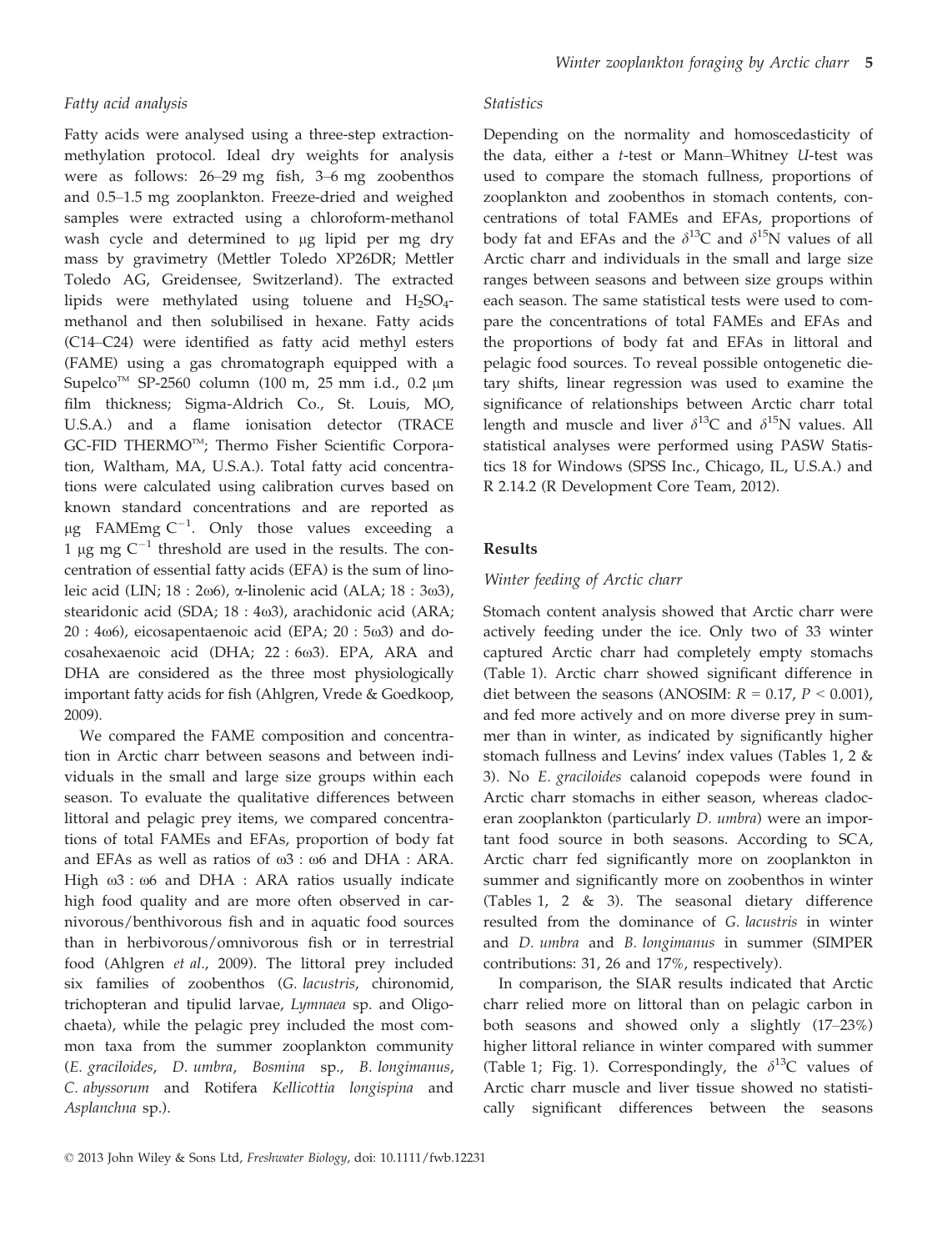#### Fatty acid analysis

Fatty acids were analysed using a three-step extractionmethylation protocol. Ideal dry weights for analysis were as follows: 26–29 mg fish, 3–6 mg zoobenthos and 0.5–1.5 mg zooplankton. Freeze-dried and weighed samples were extracted using a chloroform-methanol wash cycle and determined to µg lipid per mg dry mass by gravimetry (Mettler Toledo XP26DR; Mettler Toledo AG, Greidensee, Switzerland). The extracted lipids were methylated using toluene and  $H_2SO_4$ methanol and then solubilised in hexane. Fatty acids (C14–C24) were identified as fatty acid methyl esters (FAME) using a gas chromatograph equipped with a Supelco<sup>TM</sup> SP-2560 column (100 m, 25 mm i.d., 0.2  $\mu$ m film thickness; Sigma-Aldrich Co., St. Louis, MO, U.S.A.) and a flame ionisation detector (TRACE GC-FID THERMOTM; Thermo Fisher Scientific Corporation, Waltham, MA, U.S.A.). Total fatty acid concentrations were calculated using calibration curves based on known standard concentrations and are reported as  $\mu$ g FAMEmg C<sup>-1</sup>. Only those values exceeding a 1 µg mg  $C^{-1}$  threshold are used in the results. The concentration of essential fatty acids (EFA) is the sum of linoleic acid (LIN;  $18:2\omega_0$ ),  $\alpha$ -linolenic acid (ALA;  $18:3\omega_0$ ), stearidonic acid (SDA; 18 : 4 $\omega$ 3), arachidonic acid (ARA;  $20:4\omega$ 6), eicosapentaenoic acid (EPA;  $20:5\omega$ 3) and docosahexaenoic acid (DHA; 22 : 603). EPA, ARA and DHA are considered as the three most physiologically important fatty acids for fish (Ahlgren, Vrede & Goedkoop, 2009).

We compared the FAME composition and concentration in Arctic charr between seasons and between individuals in the small and large size groups within each season. To evaluate the qualitative differences between littoral and pelagic prey items, we compared concentrations of total FAMEs and EFAs, proportion of body fat and EFAs as well as ratios of  $\omega$ 3 :  $\omega$ 6 and DHA : ARA. High  $\omega$ 3 :  $\omega$ 6 and DHA : ARA ratios usually indicate high food quality and are more often observed in carnivorous/benthivorous fish and in aquatic food sources than in herbivorous/omnivorous fish or in terrestrial food (Ahlgren et al., 2009). The littoral prey included six families of zoobenthos (G. lacustris, chironomid, trichopteran and tipulid larvae, Lymnaea sp. and Oligochaeta), while the pelagic prey included the most common taxa from the summer zooplankton community (E. graciloides, D. umbra, Bosmina sp., B. longimanus, C. abyssorum and Rotifera Kellicottia longispina and Asplanchna sp.).

#### **Statistics**

Depending on the normality and homoscedasticity of the data, either a t-test or Mann–Whitney U-test was used to compare the stomach fullness, proportions of zooplankton and zoobenthos in stomach contents, concentrations of total FAMEs and EFAs, proportions of body fat and EFAs and the  $\delta^{13}$ C and  $\delta^{15}$ N values of all Arctic charr and individuals in the small and large size ranges between seasons and between size groups within each season. The same statistical tests were used to compare the concentrations of total FAMEs and EFAs and the proportions of body fat and EFAs in littoral and pelagic food sources. To reveal possible ontogenetic dietary shifts, linear regression was used to examine the significance of relationships between Arctic charr total length and muscle and liver  $\delta^{13}C$  and  $\delta^{15}N$  values. All statistical analyses were performed using PASW Statistics 18 for Windows (SPSS Inc., Chicago, IL, U.S.A.) and R 2.14.2 (R Development Core Team, 2012).

#### Results

#### Winter feeding of Arctic charr

Stomach content analysis showed that Arctic charr were actively feeding under the ice. Only two of 33 winter captured Arctic charr had completely empty stomachs (Table 1). Arctic charr showed significant difference in diet between the seasons (ANOSIM:  $R = 0.17$ ,  $P < 0.001$ ), and fed more actively and on more diverse prey in summer than in winter, as indicated by significantly higher stomach fullness and Levins' index values (Tables 1, 2 & 3). No E. graciloides calanoid copepods were found in Arctic charr stomachs in either season, whereas cladoceran zooplankton (particularly D. umbra) were an important food source in both seasons. According to SCA, Arctic charr fed significantly more on zooplankton in summer and significantly more on zoobenthos in winter (Tables 1, 2 & 3). The seasonal dietary difference resulted from the dominance of G. lacustris in winter and D. umbra and B. longimanus in summer (SIMPER contributions: 31, 26 and 17%, respectively).

In comparison, the SIAR results indicated that Arctic charr relied more on littoral than on pelagic carbon in both seasons and showed only a slightly (17–23%) higher littoral reliance in winter compared with summer (Table 1; Fig. 1). Correspondingly, the  $\delta^{13}$ C values of Arctic charr muscle and liver tissue showed no statistically significant differences between the seasons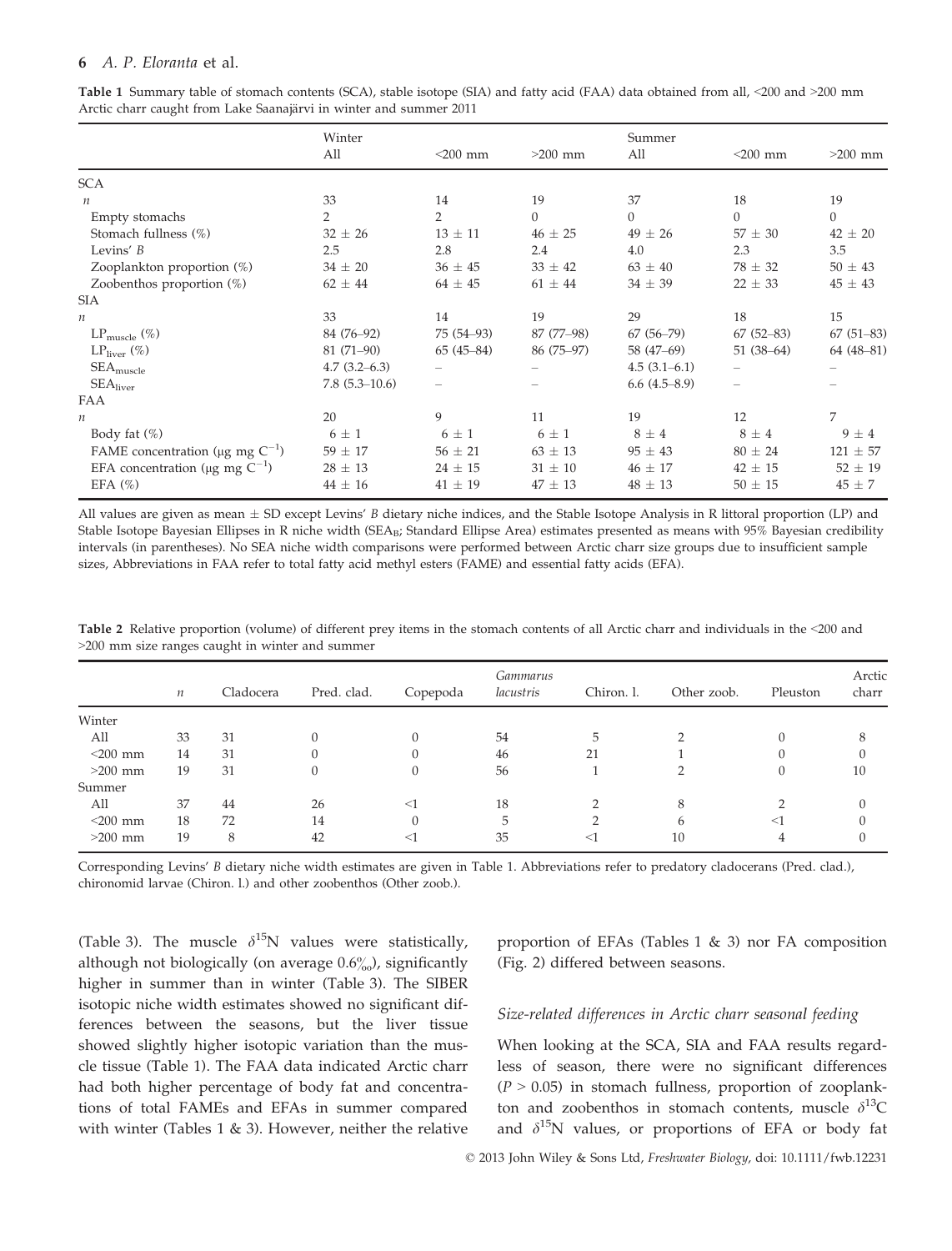|                                                   | Winter           |                          |             | Summer         |               |              |
|---------------------------------------------------|------------------|--------------------------|-------------|----------------|---------------|--------------|
|                                                   | All              | $<$ 200 mm               | $>200$ mm   | All            | $<$ 200 mm    | $>200$ mm    |
| <b>SCA</b>                                        |                  |                          |             |                |               |              |
| $\boldsymbol{n}$                                  | 33               | 14                       | 19          | 37             | 18            | 19           |
| Empty stomachs                                    | $\overline{2}$   | $\overline{2}$           | $\theta$    | $\theta$       | $\Omega$      | $\mathbf{0}$ |
| Stomach fullness (%)                              | $32 \pm 26$      | $13 \pm 11$              | $46 \pm 25$ | $49 \pm 26$    | $57 \pm 30$   | $42 \pm 20$  |
| Levins' $B$                                       | 2.5              | 2.8                      | 2.4         | 4.0            | 2.3           | 3.5          |
| Zooplankton proportion (%)                        | $34 \pm 20$      | $36 \pm 45$              | $33 \pm 42$ | $63 \pm 40$    | $78 \pm 32$   | $50 \pm 43$  |
| Zoobenthos proportion $(\%)$                      | $62 \pm 44$      | $64 \pm 45$              | $61 \pm 44$ | $34 \pm 39$    | $22 \pm 33$   | $45 \pm 43$  |
| <b>SIA</b>                                        |                  |                          |             |                |               |              |
| $\boldsymbol{n}$                                  | 33               | 14                       | 19          | 29             | 18            | 15           |
| $LP_{\text{muscle}}(\%)$                          | 84 (76-92)       | 75 (54-93)               | 87 (77-98)  | $67(56-79)$    | $67(52 - 83)$ | $67(51-83)$  |
| $LP_{\text{liver}}(\%)$                           | $81(71-90)$      | $65(45-84)$              | 86 (75–97)  | 58 (47–69)     | $51(38-64)$   | $64(48-81)$  |
| $\text{SEA}_\text{muscle}$                        | $4.7(3.2 - 6.3)$ | $\overline{\phantom{0}}$ |             | $4.5(3.1-6.1)$ |               |              |
| $\text{SEA}_{\text{liver}}$                       | $7.8(5.3-10.6)$  |                          |             | 6.6(4.5–8.9)   |               |              |
| FAA                                               |                  |                          |             |                |               |              |
| $\boldsymbol{n}$                                  | 20               | 9                        | 11          | 19             | 12            | 7            |
| Body fat $(\%)$                                   | $6 \pm 1$        | $6 \pm 1$                | $6 \pm 1$   | $8 \pm 4$      | $8 \pm 4$     | $9 \pm 4$    |
| FAME concentration ( $\mu$ g mg C <sup>-1</sup> ) | $59 \pm 17$      | $56 \pm 21$              | $63 \pm 13$ | $95 \pm 43$    | $80 \pm 24$   | $121 \pm 57$ |
| EFA concentration ( $\mu$ g mg C <sup>-1</sup> )  | $28 \pm 13$      | $24 \pm 15$              | $31 \pm 10$ | $46 \pm 17$    | $42 \pm 15$   | $52 \pm 19$  |
| EFA $(\%)$                                        | $44 \pm 16$      | $41 \pm 19$              | $47 \pm 13$ | $48 \pm 13$    | $50 \pm 15$   | $45 \pm 7$   |

Table 1 Summary table of stomach contents (SCA), stable isotope (SIA) and fatty acid (FAA) data obtained from all, <200 and >200 mm Arctic charr caught from Lake Saanajärvi in winter and summer 2011

All values are given as mean  $\pm$  SD except Levins' B dietary niche indices, and the Stable Isotope Analysis in R littoral proportion (LP) and Stable Isotope Bayesian Ellipses in R niche width (SEA<sub>B</sub>; Standard Ellipse Area) estimates presented as means with 95% Bayesian credibility intervals (in parentheses). No SEA niche width comparisons were performed between Arctic charr size groups due to insufficient sample sizes, Abbreviations in FAA refer to total fatty acid methyl esters (FAME) and essential fatty acids (EFA).

|            | $\boldsymbol{n}$ | Cladocera | Pred. clad. | Copepoda | <i>Gammarus</i><br>lacustris | Chiron. l. | Other zoob. | Pleuston | Arctic<br>charr |
|------------|------------------|-----------|-------------|----------|------------------------------|------------|-------------|----------|-----------------|
| Winter     |                  |           |             |          |                              |            |             |          |                 |
| All        | 33               | 31        |             |          | 54                           | 5          |             |          | 8               |
| $<$ 200 mm | 14               | 31        |             |          | 46                           | 21         |             |          |                 |
| $>200$ mm  | 19               | 31        |             |          | 56                           |            |             |          | 10              |
| Summer     |                  |           |             |          |                              |            |             |          |                 |
| All        | 37               | 44        | 26          | $<$ 1    | 18                           |            | 8           |          |                 |
| $<$ 200 mm | 18               | 72        | 14          |          | 5                            |            | 6           | ◁        |                 |
| $>200$ mm  | 19               | 8         | 42          | $<$ 1    | 35                           | ≺Ι         | 10          |          |                 |

Table 2 Relative proportion (volume) of different prey items in the stomach contents of all Arctic charr and individuals in the <200 and >200 mm size ranges caught in winter and summer

Corresponding Levins' B dietary niche width estimates are given in Table 1. Abbreviations refer to predatory cladocerans (Pred. clad.), chironomid larvae (Chiron. l.) and other zoobenthos (Other zoob.).

(Table 3). The muscle  $\delta^{15}N$  values were statistically, although not biologically (on average  $0.6\%$ ), significantly higher in summer than in winter (Table 3). The SIBER isotopic niche width estimates showed no significant differences between the seasons, but the liver tissue showed slightly higher isotopic variation than the muscle tissue (Table 1). The FAA data indicated Arctic charr had both higher percentage of body fat and concentrations of total FAMEs and EFAs in summer compared with winter (Tables 1  $\&$  3). However, neither the relative

proportion of EFAs (Tables 1  $\&$  3) nor FA composition (Fig. 2) differed between seasons.

## Size-related differences in Arctic charr seasonal feeding

When looking at the SCA, SIA and FAA results regardless of season, there were no significant differences  $(P > 0.05)$  in stomach fullness, proportion of zooplankton and zoobenthos in stomach contents, muscle  $\delta^{13}$ C and  $\delta^{15}$ N values, or proportions of EFA or body fat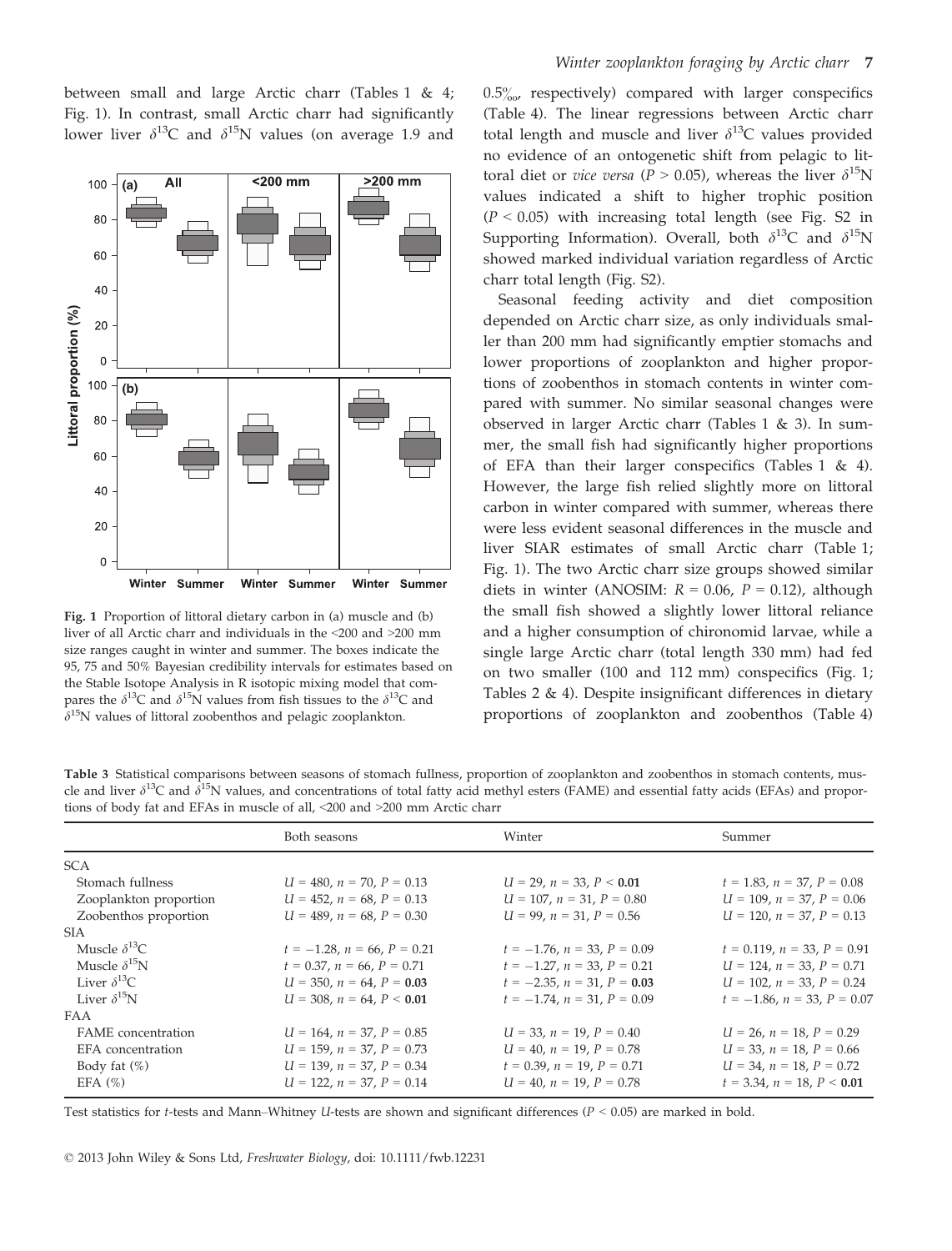between small and large Arctic charr (Tables 1 & 4; Fig. 1). In contrast, small Arctic charr had significantly lower liver  $\delta^{13}$ C and  $\delta^{15}$ N values (on average 1.9 and



Fig. 1 Proportion of littoral dietary carbon in (a) muscle and (b) liver of all Arctic charr and individuals in the <200 and >200 mm size ranges caught in winter and summer. The boxes indicate the 95, 75 and 50% Bayesian credibility intervals for estimates based on the Stable Isotope Analysis in R isotopic mixing model that compares the  $\delta^{13}$ C and  $\delta^{15}$ N values from fish tissues to the  $\delta^{13}$ C and  $\delta^{15}$ N values of littoral zoobenthos and pelagic zooplankton.

 $0.5\%$ , respectively) compared with larger conspecifics (Table 4). The linear regressions between Arctic charr total length and muscle and liver  $\delta^{13}$ C values provided no evidence of an ontogenetic shift from pelagic to littoral diet or *vice versa* ( $P > 0.05$ ), whereas the liver  $\delta^{15}N$ values indicated a shift to higher trophic position  $(P < 0.05)$  with increasing total length (see Fig. S2 in Supporting Information). Overall, both  $\delta^{13}C$  and  $\delta^{15}N$ showed marked individual variation regardless of Arctic charr total length (Fig. S2).

Seasonal feeding activity and diet composition depended on Arctic charr size, as only individuals smaller than 200 mm had significantly emptier stomachs and lower proportions of zooplankton and higher proportions of zoobenthos in stomach contents in winter compared with summer. No similar seasonal changes were observed in larger Arctic charr (Tables 1 & 3). In summer, the small fish had significantly higher proportions of EFA than their larger conspecifics (Tables 1 & 4). However, the large fish relied slightly more on littoral carbon in winter compared with summer, whereas there were less evident seasonal differences in the muscle and liver SIAR estimates of small Arctic charr (Table 1; Fig. 1). The two Arctic charr size groups showed similar diets in winter (ANOSIM:  $R = 0.06$ ,  $P = 0.12$ ), although the small fish showed a slightly lower littoral reliance and a higher consumption of chironomid larvae, while a single large Arctic charr (total length 330 mm) had fed on two smaller (100 and 112 mm) conspecifics (Fig. 1; Tables  $2 \& 4$ ). Despite insignificant differences in dietary proportions of zooplankton and zoobenthos (Table 4)

Table 3 Statistical comparisons between seasons of stomach fullness, proportion of zooplankton and zoobenthos in stomach contents, muscle and liver  $\delta^{13}C$  and  $\delta^{15}N$  values, and concentrations of total fatty acid methyl esters (FAME) and essential fatty acids (EFAs) and proportions of body fat and EFAs in muscle of all, <200 and >200 mm Arctic charr

|                           | Both seasons                        | Winter                              | Summer                              |
|---------------------------|-------------------------------------|-------------------------------------|-------------------------------------|
| <b>SCA</b>                |                                     |                                     |                                     |
| Stomach fullness          | $U = 480$ , $n = 70$ , $P = 0.13$   | $U = 29$ , $n = 33$ , $P < 0.01$    | $t = 1.83$ , $n = 37$ , $P = 0.08$  |
| Zooplankton proportion    | $U = 452$ , $n = 68$ , $P = 0.13$   | $U = 107$ , $n = 31$ , $P = 0.80$   | $U = 109$ , $n = 37$ , $P = 0.06$   |
| Zoobenthos proportion     | $U = 489, n = 68, P = 0.30$         | $U = 99$ , $n = 31$ , $P = 0.56$    | $U = 120$ , $n = 37$ , $P = 0.13$   |
| <b>SIA</b>                |                                     |                                     |                                     |
| Muscle $\delta^{13}$ C.   | $t = -1.28$ , $n = 66$ , $P = 0.21$ | $t = -1.76$ , $n = 33$ , $P = 0.09$ | $t = 0.119$ , $n = 33$ , $P = 0.91$ |
| Muscle $\delta^{15}N$     | $t = 0.37$ , $n = 66$ , $P = 0.71$  | $t = -1.27$ , $n = 33$ , $P = 0.21$ | $U = 124$ , $n = 33$ , $P = 0.71$   |
| Liver $\delta^{13}C$      | $U = 350, n = 64, P = 0.03$         | $t = -2.35$ , $n = 31$ , $P = 0.03$ | $U = 102$ , $n = 33$ , $P = 0.24$   |
| Liver $\delta^{15}N$      | $U = 308$ , $n = 64$ , $P < 0.01$   | $t = -1.74$ , $n = 31$ , $P = 0.09$ | $t = -1.86$ , $n = 33$ , $P = 0.07$ |
| <b>FAA</b>                |                                     |                                     |                                     |
| <b>FAME</b> concentration | $U = 164$ , $n = 37$ , $P = 0.85$   | $U = 33, n = 19, P = 0.40$          | $U = 26$ , $n = 18$ , $P = 0.29$    |
| EFA concentration         | $U = 159$ , $n = 37$ , $P = 0.73$   | $U = 40$ , $n = 19$ , $P = 0.78$    | $U = 33$ , $n = 18$ , $P = 0.66$    |
| Body fat $(\%)$           | $U = 139$ , $n = 37$ , $P = 0.34$   | $t = 0.39$ , $n = 19$ , $P = 0.71$  | $U = 34$ , $n = 18$ , $P = 0.72$    |
| EFA $(\%)$                | $U = 122$ , $n = 37$ , $P = 0.14$   | $U = 40, n = 19, P = 0.78$          | $t = 3.34$ , $n = 18$ , $P < 0.01$  |
|                           |                                     |                                     |                                     |

Test statistics for t-tests and Mann–Whitney U-tests are shown and significant differences ( $P < 0.05$ ) are marked in bold.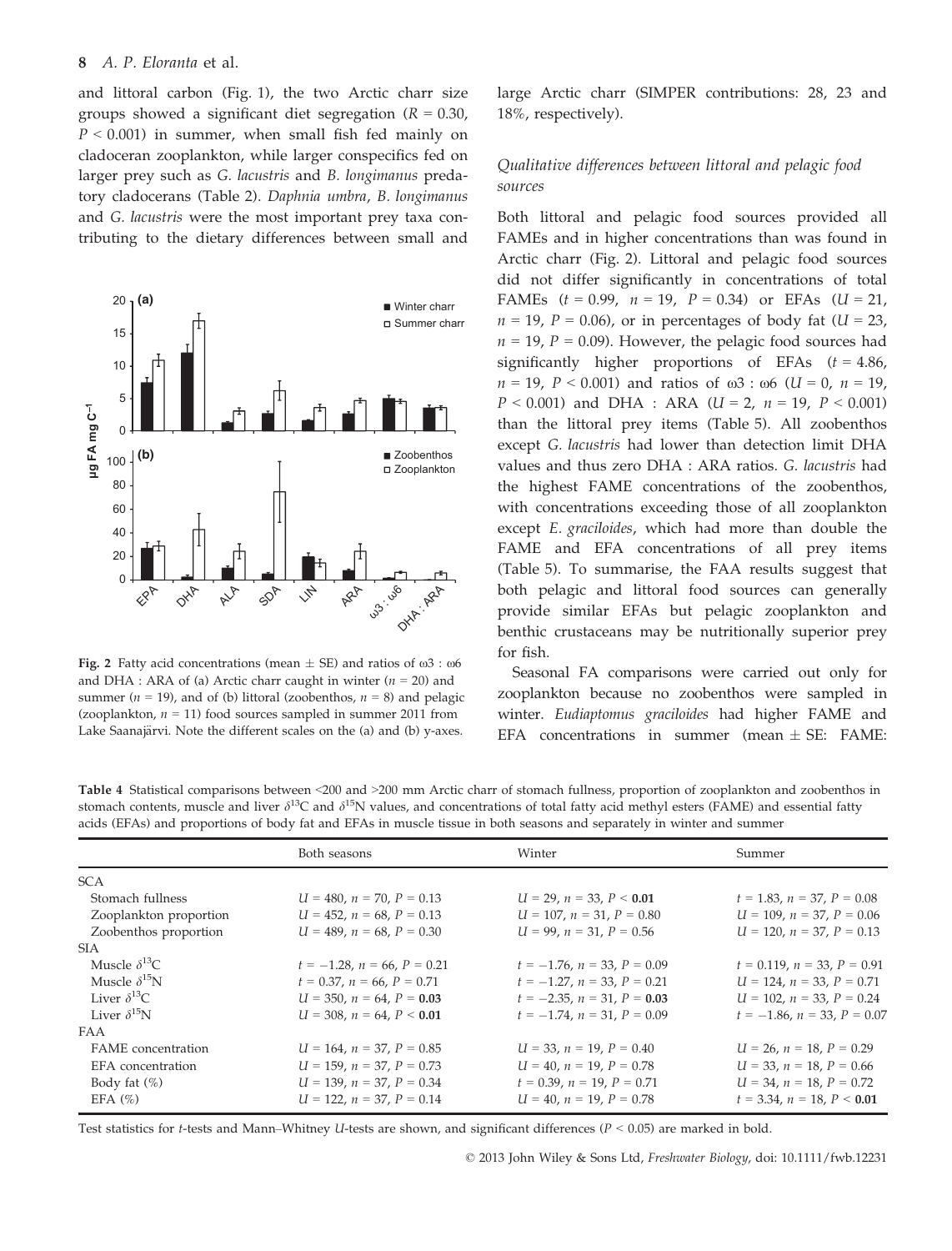and littoral carbon (Fig. 1), the two Arctic charr size groups showed a significant diet segregation ( $R = 0.30$ ,  $P < 0.001$ ) in summer, when small fish fed mainly on cladoceran zooplankton, while larger conspecifics fed on larger prey such as G. lacustris and B. longimanus predatory cladocerans (Table 2). Daphnia umbra, B. longimanus and G. lacustris were the most important prey taxa contributing to the dietary differences between small and



Fig. 2 Fatty acid concentrations (mean  $\pm$  SE) and ratios of  $\omega$ 3 :  $\omega$ 6 and DHA : ARA of (a) Arctic charr caught in winter ( $n = 20$ ) and summer ( $n = 19$ ), and of (b) littoral (zoobenthos,  $n = 8$ ) and pelagic (zooplankton,  $n = 11$ ) food sources sampled in summer 2011 from Lake Saanajärvi. Note the different scales on the (a) and (b) y-axes.

large Arctic charr (SIMPER contributions: 28, 23 and 18%, respectively).

## Qualitative differences between littoral and pelagic food sources

Both littoral and pelagic food sources provided all FAMEs and in higher concentrations than was found in Arctic charr (Fig. 2). Littoral and pelagic food sources did not differ significantly in concentrations of total FAMEs  $(t = 0.99, n = 19, P = 0.34)$  or EFAs  $(U = 21,$  $n = 19$ ,  $P = 0.06$ ), or in percentages of body fat ( $U = 23$ ,  $n = 19$ ,  $P = 0.09$ ). However, the pelagic food sources had significantly higher proportions of EFAs  $(t = 4.86)$ ,  $n = 19$ ,  $P < 0.001$ ) and ratios of  $\omega$ 3 :  $\omega$ 6 (U = 0, n = 19,  $P < 0.001$ ) and DHA : ARA ( $U = 2$ ,  $n = 19$ ,  $P < 0.001$ ) than the littoral prey items (Table 5). All zoobenthos except G. lacustris had lower than detection limit DHA values and thus zero DHA : ARA ratios. G. lacustris had the highest FAME concentrations of the zoobenthos, with concentrations exceeding those of all zooplankton except E. graciloides, which had more than double the FAME and EFA concentrations of all prey items (Table 5). To summarise, the FAA results suggest that both pelagic and littoral food sources can generally provide similar EFAs but pelagic zooplankton and benthic crustaceans may be nutritionally superior prey for fish.

Seasonal FA comparisons were carried out only for zooplankton because no zoobenthos were sampled in winter. Eudiaptomus graciloides had higher FAME and EFA concentrations in summer (mean  $\pm$  SE: FAME:

Table 4 Statistical comparisons between <200 and >200 mm Arctic charr of stomach fullness, proportion of zooplankton and zoobenthos in stomach contents, muscle and liver  $\delta^{13}C$  and  $\delta^{15}N$  values, and concentrations of total fatty acid methyl esters (FAME) and essential fatty acids (EFAs) and proportions of body fat and EFAs in muscle tissue in both seasons and separately in winter and summer

|                        | Both seasons                        | Winter                              | Summer                              |
|------------------------|-------------------------------------|-------------------------------------|-------------------------------------|
| <b>SCA</b>             |                                     |                                     |                                     |
| Stomach fullness       | $U = 480$ , $n = 70$ , $P = 0.13$   | $U = 29$ , $n = 33$ , $P < 0.01$    | $t = 1.83$ , $n = 37$ , $P = 0.08$  |
| Zooplankton proportion | $U = 452$ , $n = 68$ , $P = 0.13$   | $U = 107$ , $n = 31$ , $P = 0.80$   | $U = 109$ , $n = 37$ , $P = 0.06$   |
| Zoobenthos proportion  | $U = 489$ , $n = 68$ , $P = 0.30$   | $U = 99$ , $n = 31$ , $P = 0.56$    | $U = 120$ , $n = 37$ , $P = 0.13$   |
| <b>SIA</b>             |                                     |                                     |                                     |
| Muscle $\delta^{13}C$  | $t = -1.28$ , $n = 66$ , $P = 0.21$ | $t = -1.76$ , $n = 33$ , $P = 0.09$ | $t = 0.119$ , $n = 33$ , $P = 0.91$ |
| Muscle $\delta^{15}N$  | $t = 0.37$ , $n = 66$ , $P = 0.71$  | $t = -1.27$ , $n = 33$ , $P = 0.21$ | $U = 124$ , $n = 33$ , $P = 0.71$   |
| Liver $\delta^{13}$ C  | $U = 350, n = 64, P = 0.03$         | $t = -2.35$ , $n = 31$ , $P = 0.03$ | $U = 102$ , $n = 33$ , $P = 0.24$   |
| Liver $\delta^{15}N$   | $U = 308$ , $n = 64$ , $P < 0.01$   | $t = -1.74$ , $n = 31$ , $P = 0.09$ | $t = -1.86$ , $n = 33$ , $P = 0.07$ |
| FAA                    |                                     |                                     |                                     |
| FAME concentration     | $U = 164$ , $n = 37$ , $P = 0.85$   | $U = 33$ , $n = 19$ , $P = 0.40$    | $U = 26$ , $n = 18$ , $P = 0.29$    |
| EFA concentration      | $U = 159$ , $n = 37$ , $P = 0.73$   | $U = 40$ , $n = 19$ , $P = 0.78$    | $U = 33$ , $n = 18$ , $P = 0.66$    |
| Body fat $(\%)$        | $U = 139, n = 37, P = 0.34$         | $t = 0.39$ , $n = 19$ , $P = 0.71$  | $U = 34$ , $n = 18$ , $P = 0.72$    |
| EFA $(\%)$             | $U = 122$ , $n = 37$ , $P = 0.14$   | $U = 40, n = 19, P = 0.78$          | $t = 3.34$ , $n = 18$ , $P < 0.01$  |
|                        |                                     |                                     |                                     |

Test statistics for *t*-tests and Mann–Whitney U-tests are shown, and significant differences ( $P < 0.05$ ) are marked in bold.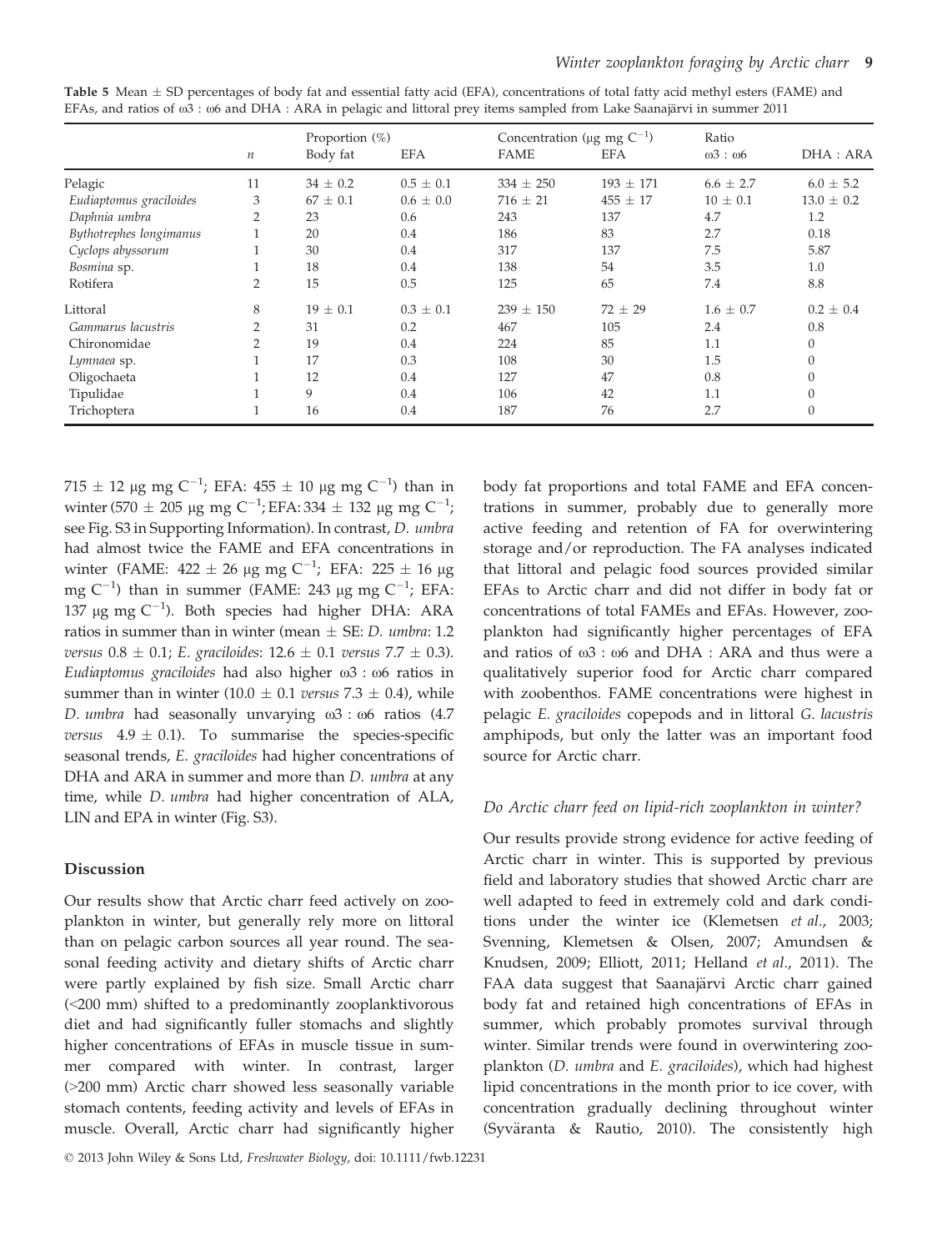|                         | $\it n$        | Proportion (%)<br>Body fat | <b>EFA</b>    | Concentration ( $\mu$ g mg C <sup>-1</sup> )<br><b>FAME</b> | <b>EFA</b>    | Ratio<br>$\omega$ 3: $\omega$ 6 | DHA : ARA      |
|-------------------------|----------------|----------------------------|---------------|-------------------------------------------------------------|---------------|---------------------------------|----------------|
| Pelagic                 | 11             | $34 \pm 0.2$               | $0.5 \pm 0.1$ | $334 \pm 250$                                               | $193 \pm 171$ | $6.6 \pm 2.7$                   | $6.0 \pm 5.2$  |
| Eudiaptomus graciloides | 3              | $67 \pm 0.1$               | $0.6 \pm 0.0$ | $716 \pm 21$                                                | $455 \pm 17$  | $10 \pm 0.1$                    | $13.0 \pm 0.2$ |
| Daphnia umbra           | 2              | 23                         | 0.6           | 243                                                         | 137           | 4.7                             | 1.2            |
| Bythotrephes longimanus |                | 20                         | 0.4           | 186                                                         | 83            | 2.7                             | 0.18           |
| Cyclops abyssorum       |                | 30                         | 0.4           | 317                                                         | 137           | 7.5                             | 5.87           |
| Bosmina sp.             |                | 18                         | 0.4           | 138                                                         | 54            | 3.5                             | 1.0            |
| Rotifera                | $\overline{2}$ | 15                         | 0.5           | 125                                                         | 65            | 7.4                             | 8.8            |
| Littoral                | 8              | $19 \pm 0.1$               | $0.3 \pm 0.1$ | 239<br>$\pm$ 150                                            | $72 \pm 29$   | $1.6 \pm 0.7$                   | $0.2 \pm 0.4$  |
| Gammarus lacustris      | $\overline{2}$ | 31                         | 0.2           | 467                                                         | 105           | 2.4                             | 0.8            |
| Chironomidae            | $\overline{2}$ | 19                         | 0.4           | 224                                                         | 85            | 1.1                             | $\Omega$       |
| Lymnaea sp.             |                | 17                         | 0.3           | 108                                                         | 30            | 1.5                             |                |
| Oligochaeta             |                | 12                         | 0.4           | 127                                                         | 47            | 0.8                             |                |
| Tipulidae               |                | 9                          | 0.4           | 106                                                         | 42            | 1.1                             |                |
| Trichoptera             |                | 16                         | 0.4           | 187                                                         | 76            | 2.7                             |                |

Table 5 Mean  $\pm$  SD percentages of body fat and essential fatty acid (EFA), concentrations of total fatty acid methyl esters (FAME) and EFAs, and ratios of  $ω3$  : ω6 and DHA : ARA in pelagic and littoral prey items sampled from Lake Saanajärvi in summer 2011

 $715 \pm 12$  µg mg C<sup>-1</sup>; EFA:  $455 \pm 10$  µg mg C<sup>-1</sup>) than in winter (570  $\pm$  205 µg mg C<sup>-1</sup>; EFA: 334  $\pm$  132 µg mg C<sup>-1</sup>; see Fig. S3 in Supporting Information). In contrast, D. umbra had almost twice the FAME and EFA concentrations in winter (FAME: 422  $\pm$  26 µg mg C<sup>-1</sup>; EFA: 225  $\pm$  16 µg mg C $^{-1}$ ) than in summer (FAME: 243  $\mu$ g mg C $^{-1}$ ; EFA: 137 µg mg  $C^{-1}$ ). Both species had higher DHA: ARA ratios in summer than in winter (mean  $\pm$  SE: *D. umbra*: 1.2 versus  $0.8 \pm 0.1$ ; E. graciloides:  $12.6 \pm 0.1$  versus  $7.7 \pm 0.3$ ). Eudiaptomus graciloides had also higher  $\omega$ 3 :  $\omega$ 6 ratios in summer than in winter (10.0  $\pm$  0.1 versus 7.3  $\pm$  0.4), while D. umbra had seasonally unvarying  $\omega$ 3 :  $\omega$ 6 ratios (4.7) versus  $4.9 \pm 0.1$ ). To summarise the species-specific seasonal trends, E. graciloides had higher concentrations of DHA and ARA in summer and more than *D. umbra* at any time, while D. umbra had higher concentration of ALA, LIN and EPA in winter (Fig. S3).

## Discussion

Our results show that Arctic charr feed actively on zooplankton in winter, but generally rely more on littoral than on pelagic carbon sources all year round. The seasonal feeding activity and dietary shifts of Arctic charr were partly explained by fish size. Small Arctic charr (<200 mm) shifted to a predominantly zooplanktivorous diet and had significantly fuller stomachs and slightly higher concentrations of EFAs in muscle tissue in summer compared with winter. In contrast, larger (>200 mm) Arctic charr showed less seasonally variable stomach contents, feeding activity and levels of EFAs in muscle. Overall, Arctic charr had significantly higher

© 2013 John Wiley & Sons Ltd, Freshwater Biology, doi: 10.1111/fwb.12231

body fat proportions and total FAME and EFA concentrations in summer, probably due to generally more active feeding and retention of FA for overwintering storage and/or reproduction. The FA analyses indicated that littoral and pelagic food sources provided similar EFAs to Arctic charr and did not differ in body fat or concentrations of total FAMEs and EFAs. However, zooplankton had significantly higher percentages of EFA and ratios of  $\omega$ 3 :  $\omega$ 6 and DHA : ARA and thus were a qualitatively superior food for Arctic charr compared with zoobenthos. FAME concentrations were highest in pelagic E. graciloides copepods and in littoral G. lacustris amphipods, but only the latter was an important food source for Arctic charr.

## Do Arctic charr feed on lipid-rich zooplankton in winter?

Our results provide strong evidence for active feeding of Arctic charr in winter. This is supported by previous field and laboratory studies that showed Arctic charr are well adapted to feed in extremely cold and dark conditions under the winter ice (Klemetsen et al., 2003; Svenning, Klemetsen & Olsen, 2007; Amundsen & Knudsen, 2009; Elliott, 2011; Helland et al., 2011). The FAA data suggest that Saanajärvi Arctic charr gained body fat and retained high concentrations of EFAs in summer, which probably promotes survival through winter. Similar trends were found in overwintering zooplankton (D. umbra and E. graciloides), which had highest lipid concentrations in the month prior to ice cover, with concentration gradually declining throughout winter (Syväranta & Rautio, 2010). The consistently high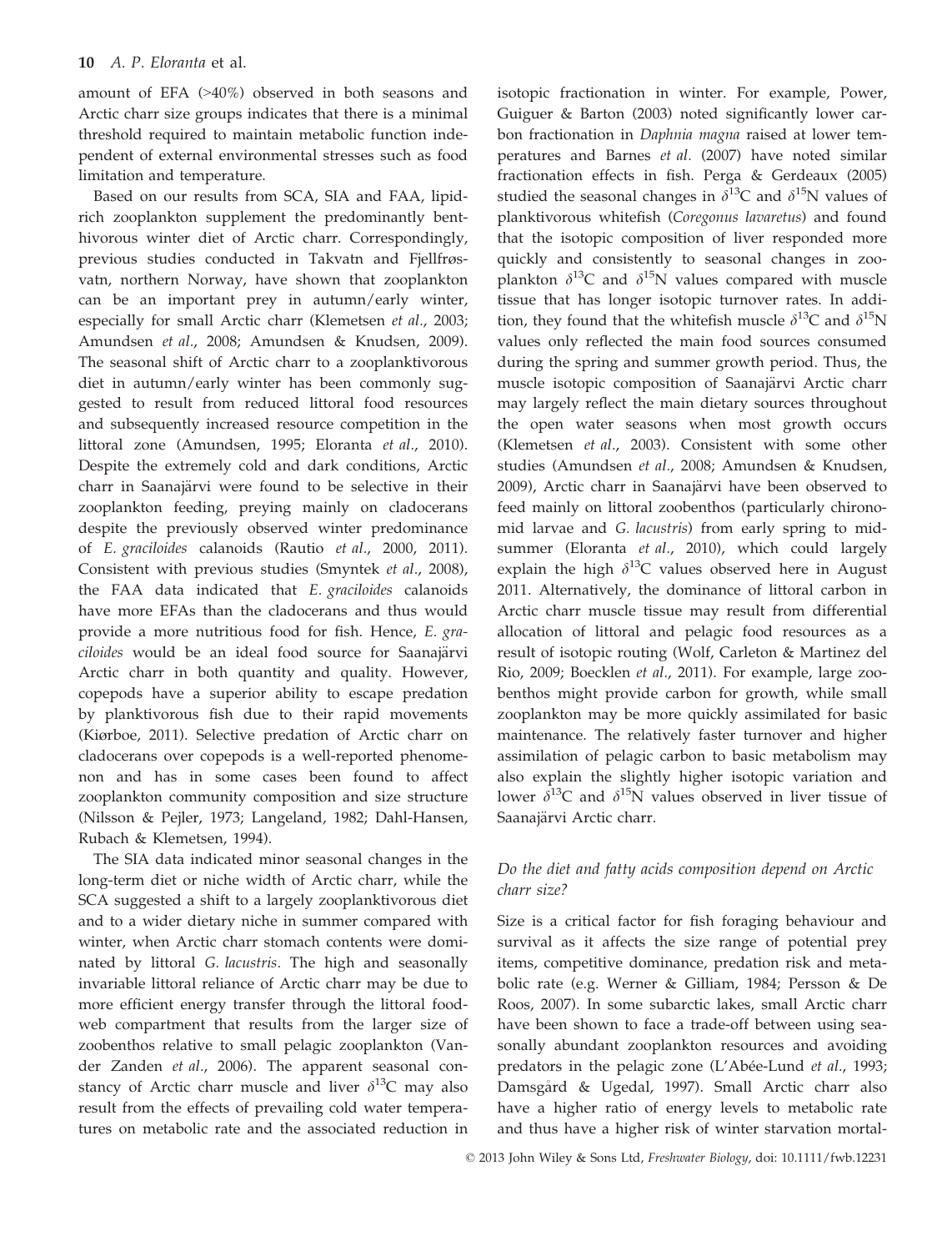amount of EFA (>40%) observed in both seasons and Arctic charr size groups indicates that there is a minimal threshold required to maintain metabolic function independent of external environmental stresses such as food limitation and temperature.

Based on our results from SCA, SIA and FAA, lipidrich zooplankton supplement the predominantly benthivorous winter diet of Arctic charr. Correspondingly, previous studies conducted in Takvatn and Fjellfrøsvatn, northern Norway, have shown that zooplankton can be an important prey in autumn/early winter, especially for small Arctic charr (Klemetsen et al., 2003; Amundsen et al., 2008; Amundsen & Knudsen, 2009). The seasonal shift of Arctic charr to a zooplanktivorous diet in autumn/early winter has been commonly suggested to result from reduced littoral food resources and subsequently increased resource competition in the littoral zone (Amundsen, 1995; Eloranta et al., 2010). Despite the extremely cold and dark conditions, Arctic charr in Saanajärvi were found to be selective in their zooplankton feeding, preying mainly on cladocerans despite the previously observed winter predominance of E. graciloides calanoids (Rautio et al., 2000, 2011). Consistent with previous studies (Smyntek et al., 2008), the FAA data indicated that E. graciloides calanoids have more EFAs than the cladocerans and thus would provide a more nutritious food for fish. Hence, E. graciloides would be an ideal food source for Saanajärvi Arctic charr in both quantity and quality. However, copepods have a superior ability to escape predation by planktivorous fish due to their rapid movements (Kiørboe, 2011). Selective predation of Arctic charr on cladocerans over copepods is a well-reported phenomenon and has in some cases been found to affect zooplankton community composition and size structure (Nilsson & Pejler, 1973; Langeland, 1982; Dahl-Hansen, Rubach & Klemetsen, 1994).

The SIA data indicated minor seasonal changes in the long-term diet or niche width of Arctic charr, while the SCA suggested a shift to a largely zooplanktivorous diet and to a wider dietary niche in summer compared with winter, when Arctic charr stomach contents were dominated by littoral G. lacustris. The high and seasonally invariable littoral reliance of Arctic charr may be due to more efficient energy transfer through the littoral foodweb compartment that results from the larger size of zoobenthos relative to small pelagic zooplankton (Vander Zanden et al., 2006). The apparent seasonal constancy of Arctic charr muscle and liver  $\delta^{13}$ C may also result from the effects of prevailing cold water temperatures on metabolic rate and the associated reduction in

isotopic fractionation in winter. For example, Power, Guiguer & Barton (2003) noted significantly lower carbon fractionation in Daphnia magna raised at lower temperatures and Barnes et al. (2007) have noted similar fractionation effects in fish. Perga & Gerdeaux (2005) studied the seasonal changes in  $\delta^{13}$ C and  $\delta^{15}$ N values of planktivorous whitefish (Coregonus lavaretus) and found that the isotopic composition of liver responded more quickly and consistently to seasonal changes in zooplankton  $\delta^{13}C$  and  $\delta^{15}N$  values compared with muscle tissue that has longer isotopic turnover rates. In addition, they found that the whitefish muscle  $\delta^{13}C$  and  $\delta^{15}N$ values only reflected the main food sources consumed during the spring and summer growth period. Thus, the muscle isotopic composition of Saanajärvi Arctic charr may largely reflect the main dietary sources throughout the open water seasons when most growth occurs (Klemetsen et al., 2003). Consistent with some other studies (Amundsen et al., 2008; Amundsen & Knudsen, 2009), Arctic charr in Saanajärvi have been observed to feed mainly on littoral zoobenthos (particularly chironomid larvae and G. lacustris) from early spring to midsummer (Eloranta et al., 2010), which could largely explain the high  $\delta^{13}$ C values observed here in August 2011. Alternatively, the dominance of littoral carbon in Arctic charr muscle tissue may result from differential allocation of littoral and pelagic food resources as a result of isotopic routing (Wolf, Carleton & Martinez del Rio, 2009; Boecklen et al., 2011). For example, large zoobenthos might provide carbon for growth, while small zooplankton may be more quickly assimilated for basic maintenance. The relatively faster turnover and higher assimilation of pelagic carbon to basic metabolism may also explain the slightly higher isotopic variation and lower  $\delta^{13}$ C and  $\delta^{15}$ N values observed in liver tissue of Saanajärvi Arctic charr.

## Do the diet and fatty acids composition depend on Arctic charr size?

Size is a critical factor for fish foraging behaviour and survival as it affects the size range of potential prey items, competitive dominance, predation risk and metabolic rate (e.g. Werner & Gilliam, 1984; Persson & De Roos, 2007). In some subarctic lakes, small Arctic charr have been shown to face a trade-off between using seasonally abundant zooplankton resources and avoiding predators in the pelagic zone (L'Abée-Lund et al., 1993; Damsgård & Ugedal, 1997). Small Arctic charr also have a higher ratio of energy levels to metabolic rate and thus have a higher risk of winter starvation mortal-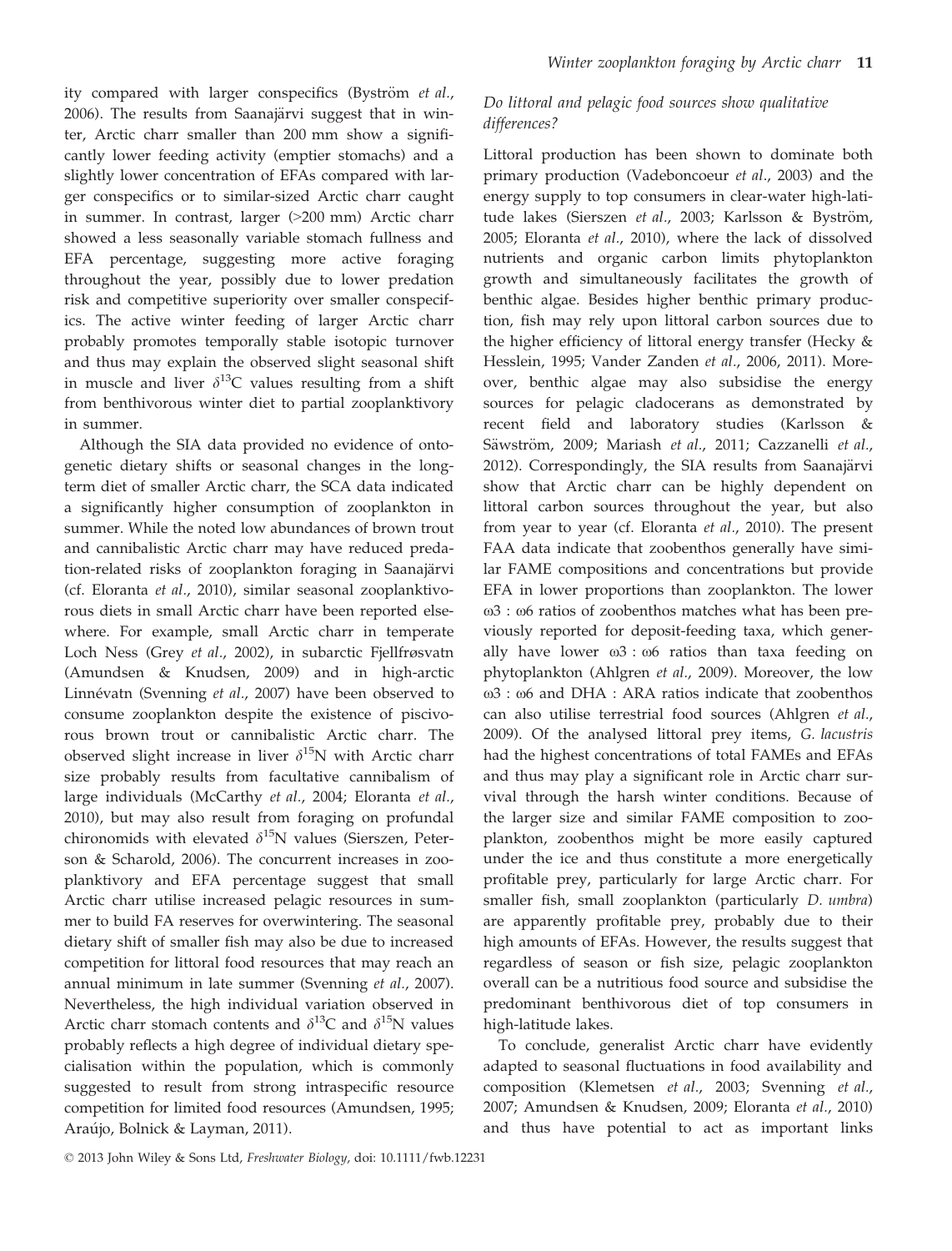ity compared with larger conspecifics (Byström et al., 2006). The results from Saanajärvi suggest that in winter, Arctic charr smaller than 200 mm show a significantly lower feeding activity (emptier stomachs) and a slightly lower concentration of EFAs compared with larger conspecifics or to similar-sized Arctic charr caught in summer. In contrast, larger (>200 mm) Arctic charr showed a less seasonally variable stomach fullness and EFA percentage, suggesting more active foraging throughout the year, possibly due to lower predation risk and competitive superiority over smaller conspecifics. The active winter feeding of larger Arctic charr probably promotes temporally stable isotopic turnover and thus may explain the observed slight seasonal shift in muscle and liver  $\delta^{13}C$  values resulting from a shift from benthivorous winter diet to partial zooplanktivory in summer.

Although the SIA data provided no evidence of ontogenetic dietary shifts or seasonal changes in the longterm diet of smaller Arctic charr, the SCA data indicated a significantly higher consumption of zooplankton in summer. While the noted low abundances of brown trout and cannibalistic Arctic charr may have reduced predation-related risks of zooplankton foraging in Saanajärvi (cf. Eloranta et al., 2010), similar seasonal zooplanktivorous diets in small Arctic charr have been reported elsewhere. For example, small Arctic charr in temperate Loch Ness (Grey et al., 2002), in subarctic Fjellfrøsvatn (Amundsen & Knudsen, 2009) and in high-arctic Linnévatn (Svenning et al., 2007) have been observed to consume zooplankton despite the existence of piscivorous brown trout or cannibalistic Arctic charr. The observed slight increase in liver  $\delta^{15}N$  with Arctic charr size probably results from facultative cannibalism of large individuals (McCarthy et al., 2004; Eloranta et al., 2010), but may also result from foraging on profundal chironomids with elevated  $\delta^{15}N$  values (Sierszen, Peterson & Scharold, 2006). The concurrent increases in zooplanktivory and EFA percentage suggest that small Arctic charr utilise increased pelagic resources in summer to build FA reserves for overwintering. The seasonal dietary shift of smaller fish may also be due to increased competition for littoral food resources that may reach an annual minimum in late summer (Svenning et al., 2007). Nevertheless, the high individual variation observed in Arctic charr stomach contents and  $\delta^{13}C$  and  $\delta^{15}N$  values probably reflects a high degree of individual dietary specialisation within the population, which is commonly suggested to result from strong intraspecific resource competition for limited food resources (Amundsen, 1995; Araújo, Bolnick & Layman, 2011).

## Do littoral and pelagic food sources show qualitative differences?

Littoral production has been shown to dominate both primary production (Vadeboncoeur et al., 2003) and the energy supply to top consumers in clear-water high-latitude lakes (Sierszen et al., 2003; Karlsson & Byström, 2005; Eloranta et al., 2010), where the lack of dissolved nutrients and organic carbon limits phytoplankton growth and simultaneously facilitates the growth of benthic algae. Besides higher benthic primary production, fish may rely upon littoral carbon sources due to the higher efficiency of littoral energy transfer (Hecky & Hesslein, 1995; Vander Zanden et al., 2006, 2011). Moreover, benthic algae may also subsidise the energy sources for pelagic cladocerans as demonstrated by recent field and laboratory studies (Karlsson & Säwström, 2009; Mariash et al., 2011; Cazzanelli et al., 2012). Correspondingly, the SIA results from Saanajärvi show that Arctic charr can be highly dependent on littoral carbon sources throughout the year, but also from year to year (cf. Eloranta et al., 2010). The present FAA data indicate that zoobenthos generally have similar FAME compositions and concentrations but provide EFA in lower proportions than zooplankton. The lower  $ω3$ : ω6 ratios of zoobenthos matches what has been previously reported for deposit-feeding taxa, which generally have lower  $\omega$ 3 :  $\omega$ 6 ratios than taxa feeding on phytoplankton (Ahlgren et al., 2009). Moreover, the low x3 : x6 and DHA : ARA ratios indicate that zoobenthos can also utilise terrestrial food sources (Ahlgren et al., 2009). Of the analysed littoral prey items, G. lacustris had the highest concentrations of total FAMEs and EFAs and thus may play a significant role in Arctic charr survival through the harsh winter conditions. Because of the larger size and similar FAME composition to zooplankton, zoobenthos might be more easily captured under the ice and thus constitute a more energetically profitable prey, particularly for large Arctic charr. For smaller fish, small zooplankton (particularly D. umbra) are apparently profitable prey, probably due to their high amounts of EFAs. However, the results suggest that regardless of season or fish size, pelagic zooplankton overall can be a nutritious food source and subsidise the predominant benthivorous diet of top consumers in high-latitude lakes.

To conclude, generalist Arctic charr have evidently adapted to seasonal fluctuations in food availability and composition (Klemetsen et al., 2003; Svenning et al., 2007; Amundsen & Knudsen, 2009; Eloranta et al., 2010) and thus have potential to act as important links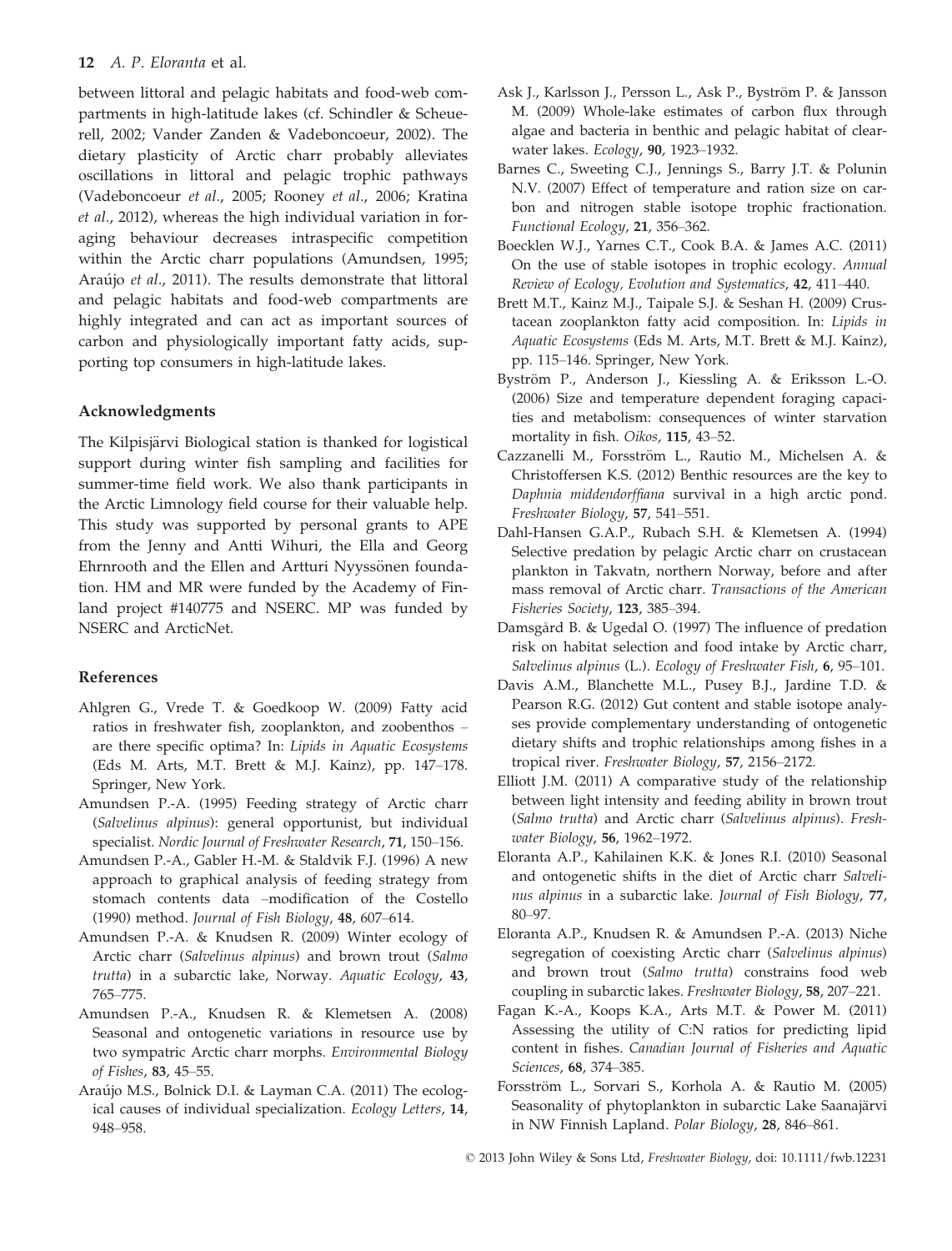between littoral and pelagic habitats and food-web compartments in high-latitude lakes (cf. Schindler & Scheuerell, 2002; Vander Zanden & Vadeboncoeur, 2002). The dietary plasticity of Arctic charr probably alleviates oscillations in littoral and pelagic trophic pathways (Vadeboncoeur et al., 2005; Rooney et al., 2006; Kratina et al., 2012), whereas the high individual variation in foraging behaviour decreases intraspecific competition within the Arctic charr populations (Amundsen, 1995; Araújo et al., 2011). The results demonstrate that littoral and pelagic habitats and food-web compartments are highly integrated and can act as important sources of carbon and physiologically important fatty acids, supporting top consumers in high-latitude lakes.

#### Acknowledgments

The Kilpisjärvi Biological station is thanked for logistical support during winter fish sampling and facilities for summer-time field work. We also thank participants in the Arctic Limnology field course for their valuable help. This study was supported by personal grants to APE from the Jenny and Antti Wihuri, the Ella and Georg Ehrnrooth and the Ellen and Artturi Nyyssönen foundation. HM and MR were funded by the Academy of Finland project #140775 and NSERC. MP was funded by NSERC and ArcticNet.

#### References

- Ahlgren G., Vrede T. & Goedkoop W. (2009) Fatty acid ratios in freshwater fish, zooplankton, and zoobenthos – are there specific optima? In: Lipids in Aquatic Ecosystems (Eds M. Arts, M.T. Brett & M.J. Kainz), pp. 147–178. Springer, New York.
- Amundsen P.-A. (1995) Feeding strategy of Arctic charr (Salvelinus alpinus): general opportunist, but individual specialist. Nordic Journal of Freshwater Research, 71, 150–156.
- Amundsen P.-A., Gabler H.-M. & Staldvik F.J. (1996) A new approach to graphical analysis of feeding strategy from stomach contents data –modification of the Costello (1990) method. Journal of Fish Biology, 48, 607–614.
- Amundsen P.-A. & Knudsen R. (2009) Winter ecology of Arctic charr (Salvelinus alpinus) and brown trout (Salmo trutta) in a subarctic lake, Norway. Aquatic Ecology, 43, 765–775.
- Amundsen P.-A., Knudsen R. & Klemetsen A. (2008) Seasonal and ontogenetic variations in resource use by two sympatric Arctic charr morphs. Environmental Biology of Fishes, 83, 45–55.
- Araújo M.S., Bolnick D.I. & Layman C.A. (2011) The ecological causes of individual specialization. Ecology Letters, 14, 948–958.
- Ask J., Karlsson J., Persson L., Ask P., Byström P. & Jansson M. (2009) Whole-lake estimates of carbon flux through algae and bacteria in benthic and pelagic habitat of clearwater lakes. Ecology, 90, 1923–1932.
- Barnes C., Sweeting C.J., Jennings S., Barry J.T. & Polunin N.V. (2007) Effect of temperature and ration size on carbon and nitrogen stable isotope trophic fractionation. Functional Ecology, 21, 356–362.
- Boecklen W.J., Yarnes C.T., Cook B.A. & James A.C. (2011) On the use of stable isotopes in trophic ecology. Annual Review of Ecology, Evolution and Systematics, 42, 411–440.
- Brett M.T., Kainz M.J., Taipale S.J. & Seshan H. (2009) Crustacean zooplankton fatty acid composition. In: Lipids in Aquatic Ecosystems (Eds M. Arts, M.T. Brett & M.J. Kainz), pp. 115–146. Springer, New York.
- Byström P., Anderson J., Kiessling A. & Eriksson L.-O. (2006) Size and temperature dependent foraging capacities and metabolism: consequences of winter starvation mortality in fish. Oikos, 115, 43–52.
- Cazzanelli M., Forsström L., Rautio M., Michelsen A. & Christoffersen K.S. (2012) Benthic resources are the key to Daphnia middendorffiana survival in a high arctic pond. Freshwater Biology, 57, 541–551.
- Dahl-Hansen G.A.P., Rubach S.H. & Klemetsen A. (1994) Selective predation by pelagic Arctic charr on crustacean plankton in Takvatn, northern Norway, before and after mass removal of Arctic charr. Transactions of the American Fisheries Society, 123, 385–394.
- Damsgard B. & Ugedal O. (1997) The influence of predation risk on habitat selection and food intake by Arctic charr, Salvelinus alpinus (L.). Ecology of Freshwater Fish, 6, 95-101.
- Davis A.M., Blanchette M.L., Pusey B.J., Jardine T.D. & Pearson R.G. (2012) Gut content and stable isotope analyses provide complementary understanding of ontogenetic dietary shifts and trophic relationships among fishes in a tropical river. Freshwater Biology, 57, 2156–2172.
- Elliott J.M. (2011) A comparative study of the relationship between light intensity and feeding ability in brown trout (Salmo trutta) and Arctic charr (Salvelinus alpinus). Freshwater Biology, 56, 1962–1972.
- Eloranta A.P., Kahilainen K.K. & Jones R.I. (2010) Seasonal and ontogenetic shifts in the diet of Arctic charr Salvelinus alpinus in a subarctic lake. Journal of Fish Biology, 77, 80–97.
- Eloranta A.P., Knudsen R. & Amundsen P.-A. (2013) Niche segregation of coexisting Arctic charr (Salvelinus alpinus) and brown trout (Salmo trutta) constrains food web coupling in subarctic lakes. Freshwater Biology, 58, 207–221.
- Fagan K.-A., Koops K.A., Arts M.T. & Power M. (2011) Assessing the utility of C:N ratios for predicting lipid content in fishes. Canadian Journal of Fisheries and Aquatic Sciences, 68, 374–385.
- Forsström L., Sorvari S., Korhola A. & Rautio M. (2005) Seasonality of phytoplankton in subarctic Lake Saanajärvi in NW Finnish Lapland. Polar Biology, 28, 846–861.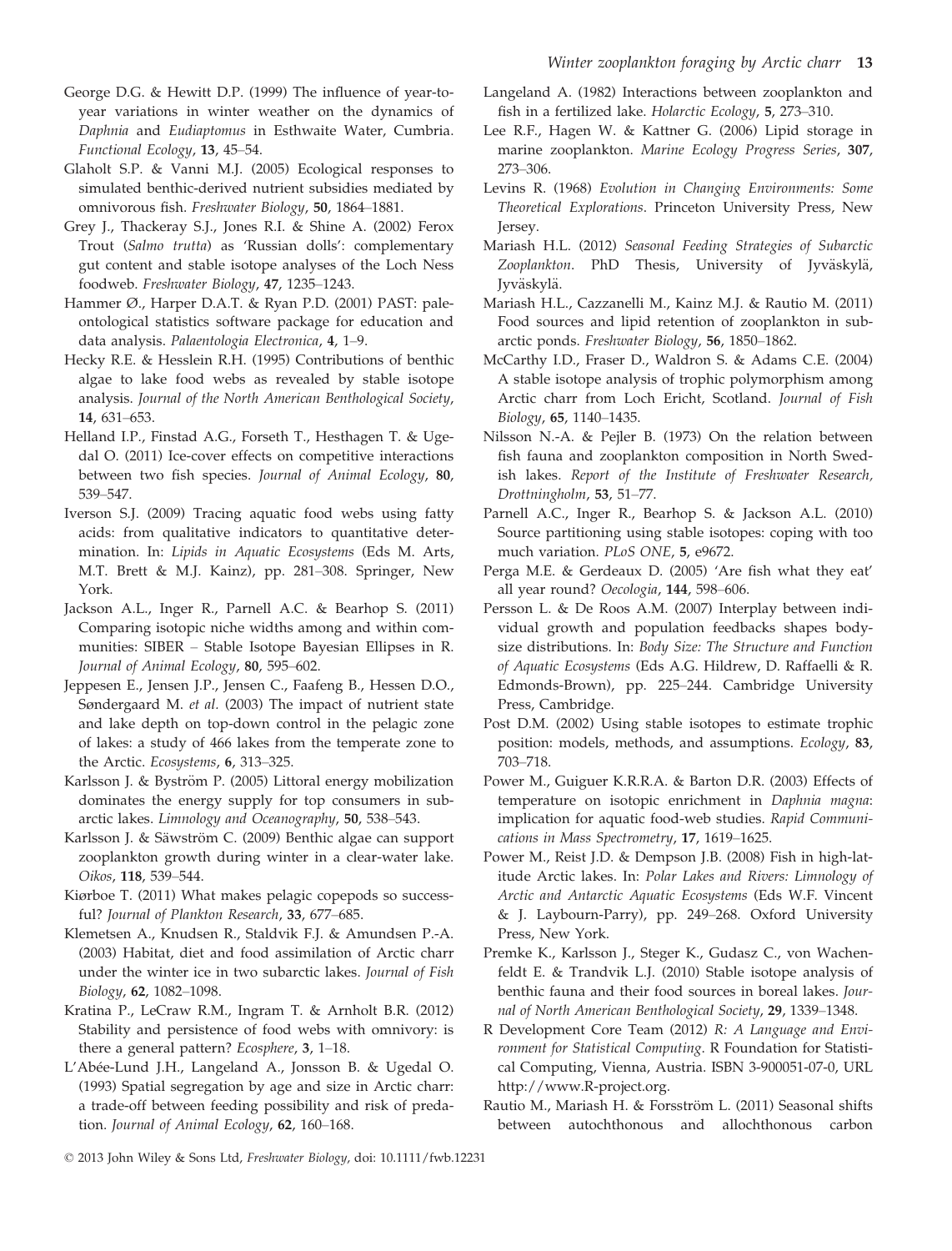- George D.G. & Hewitt D.P. (1999) The influence of year-toyear variations in winter weather on the dynamics of Daphnia and Eudiaptomus in Esthwaite Water, Cumbria. Functional Ecology, 13, 45–54.
- Glaholt S.P. & Vanni M.J. (2005) Ecological responses to simulated benthic-derived nutrient subsidies mediated by omnivorous fish. Freshwater Biology, 50, 1864–1881.
- Grey J., Thackeray S.J., Jones R.I. & Shine A. (2002) Ferox Trout (Salmo trutta) as 'Russian dolls': complementary gut content and stable isotope analyses of the Loch Ness foodweb. Freshwater Biology, 47, 1235–1243.
- Hammer Ø., Harper D.A.T. & Ryan P.D. (2001) PAST: paleontological statistics software package for education and data analysis. Palaentologia Electronica, 4, 1–9.
- Hecky R.E. & Hesslein R.H. (1995) Contributions of benthic algae to lake food webs as revealed by stable isotope analysis. Journal of the North American Benthological Society, 14, 631–653.
- Helland I.P., Finstad A.G., Forseth T., Hesthagen T. & Ugedal O. (2011) Ice-cover effects on competitive interactions between two fish species. Journal of Animal Ecology, 80, 539–547.
- Iverson S.J. (2009) Tracing aquatic food webs using fatty acids: from qualitative indicators to quantitative determination. In: Lipids in Aquatic Ecosystems (Eds M. Arts, M.T. Brett & M.J. Kainz), pp. 281–308. Springer, New York.
- Jackson A.L., Inger R., Parnell A.C. & Bearhop S. (2011) Comparing isotopic niche widths among and within communities: SIBER – Stable Isotope Bayesian Ellipses in R. Journal of Animal Ecology, 80, 595–602.
- Jeppesen E., Jensen J.P., Jensen C., Faafeng B., Hessen D.O., Søndergaard M. et al. (2003) The impact of nutrient state and lake depth on top-down control in the pelagic zone of lakes: a study of 466 lakes from the temperate zone to the Arctic. Ecosystems, 6, 313–325.
- Karlsson J. & Byström P. (2005) Littoral energy mobilization dominates the energy supply for top consumers in subarctic lakes. Limnology and Oceanography, 50, 538–543.
- Karlsson J. & Säwström C. (2009) Benthic algae can support zooplankton growth during winter in a clear-water lake. Oikos, 118, 539–544.
- Kiørboe T. (2011) What makes pelagic copepods so successful? Journal of Plankton Research, 33, 677–685.
- Klemetsen A., Knudsen R., Staldvik F.J. & Amundsen P.-A. (2003) Habitat, diet and food assimilation of Arctic charr under the winter ice in two subarctic lakes. Journal of Fish Biology, 62, 1082–1098.
- Kratina P., LeCraw R.M., Ingram T. & Arnholt B.R. (2012) Stability and persistence of food webs with omnivory: is there a general pattern? Ecosphere, 3, 1–18.
- L'Abée-Lund J.H., Langeland A., Jonsson B. & Ugedal O. (1993) Spatial segregation by age and size in Arctic charr: a trade-off between feeding possibility and risk of predation. Journal of Animal Ecology, 62, 160-168.
- Langeland A. (1982) Interactions between zooplankton and fish in a fertilized lake. Holarctic Ecology, 5, 273–310.
- Lee R.F., Hagen W. & Kattner G. (2006) Lipid storage in marine zooplankton. Marine Ecology Progress Series, 307, 273–306.
- Levins R. (1968) Evolution in Changing Environments: Some Theoretical Explorations. Princeton University Press, New Jersey.
- Mariash H.L. (2012) Seasonal Feeding Strategies of Subarctic Zooplankton. PhD Thesis, University of Jyväskylä, Jyväskylä.
- Mariash H.L., Cazzanelli M., Kainz M.J. & Rautio M. (2011) Food sources and lipid retention of zooplankton in subarctic ponds. Freshwater Biology, 56, 1850–1862.
- McCarthy I.D., Fraser D., Waldron S. & Adams C.E. (2004) A stable isotope analysis of trophic polymorphism among Arctic charr from Loch Ericht, Scotland. Journal of Fish Biology, 65, 1140–1435.
- Nilsson N.-A. & Pejler B. (1973) On the relation between fish fauna and zooplankton composition in North Swedish lakes. Report of the Institute of Freshwater Research, Drottningholm, 53, 51–77.
- Parnell A.C., Inger R., Bearhop S. & Jackson A.L. (2010) Source partitioning using stable isotopes: coping with too much variation. PLoS ONE, 5, e9672.
- Perga M.E. & Gerdeaux D. (2005) 'Are fish what they eat' all year round? Oecologia, 144, 598–606.
- Persson L. & De Roos A.M. (2007) Interplay between individual growth and population feedbacks shapes bodysize distributions. In: Body Size: The Structure and Function of Aquatic Ecosystems (Eds A.G. Hildrew, D. Raffaelli & R. Edmonds-Brown), pp. 225–244. Cambridge University Press, Cambridge.
- Post D.M. (2002) Using stable isotopes to estimate trophic position: models, methods, and assumptions. Ecology, 83, 703–718.
- Power M., Guiguer K.R.R.A. & Barton D.R. (2003) Effects of temperature on isotopic enrichment in Daphnia magna: implication for aquatic food-web studies. Rapid Communications in Mass Spectrometry, 17, 1619–1625.
- Power M., Reist J.D. & Dempson J.B. (2008) Fish in high-latitude Arctic lakes. In: Polar Lakes and Rivers: Limnology of Arctic and Antarctic Aquatic Ecosystems (Eds W.F. Vincent & J. Laybourn-Parry), pp. 249–268. Oxford University Press, New York.
- Premke K., Karlsson J., Steger K., Gudasz C., von Wachenfeldt E. & Trandvik L.J. (2010) Stable isotope analysis of benthic fauna and their food sources in boreal lakes. Journal of North American Benthological Society, 29, 1339–1348.
- R Development Core Team (2012) R: A Language and Environment for Statistical Computing. R Foundation for Statistical Computing, Vienna, Austria. ISBN 3-900051-07-0, URL http://www.R-project.org.
- Rautio M., Mariash H. & Forsström L. (2011) Seasonal shifts between autochthonous and allochthonous carbon
- © 2013 John Wiley & Sons Ltd, Freshwater Biology, doi: 10.1111/fwb.12231